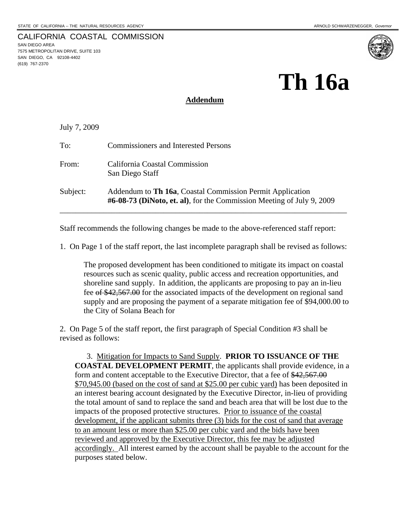SAN DIEGO AREA

(619) 767-2370

7575 METROPOLITAN DRIVE, SUITE 103 SAN DIEGO, CA 92108-4402

CALIFORNIA COASTAL COMMISSION

# **Th 16a**

### **Addendum**

July 7, 2009

| To:      | <b>Commissioners and Interested Persons</b>                                                                                        |
|----------|------------------------------------------------------------------------------------------------------------------------------------|
| From:    | California Coastal Commission<br>San Diego Staff                                                                                   |
| Subject: | Addendum to Th 16a, Coastal Commission Permit Application<br>#6-08-73 (DiNoto, et. al), for the Commission Meeting of July 9, 2009 |

Staff recommends the following changes be made to the above-referenced staff report:

1. On Page 1 of the staff report, the last incomplete paragraph shall be revised as follows:

The proposed development has been conditioned to mitigate its impact on coastal resources such as scenic quality, public access and recreation opportunities, and shoreline sand supply. In addition, the applicants are proposing to pay an in-lieu fee of \$42,567.00 for the associated impacts of the development on regional sand supply and are proposing the payment of a separate mitigation fee of \$94,000.00 to the City of Solana Beach for

2. On Page 5 of the staff report, the first paragraph of Special Condition #3 shall be revised as follows:

 3. Mitigation for Impacts to Sand Supply. **PRIOR TO ISSUANCE OF THE COASTAL DEVELOPMENT PERMIT**, the applicants shall provide evidence, in a form and content acceptable to the Executive Director, that a fee of \$42,567.00 \$70,945.00 (based on the cost of sand at \$25.00 per cubic yard) has been deposited in an interest bearing account designated by the Executive Director, in-lieu of providing the total amount of sand to replace the sand and beach area that will be lost due to the impacts of the proposed protective structures. Prior to issuance of the coastal development, if the applicant submits three (3) bids for the cost of sand that average to an amount less or more than \$25.00 per cubic yard and the bids have been reviewed and approved by the Executive Director, this fee may be adjusted accordingly. All interest earned by the account shall be payable to the account for the purposes stated below.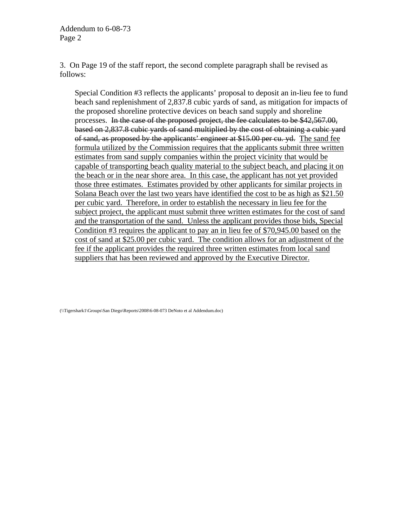Addendum to 6-08-73 Page 2

3. On Page 19 of the staff report, the second complete paragraph shall be revised as follows:

Special Condition #3 reflects the applicants' proposal to deposit an in-lieu fee to fund beach sand replenishment of 2,837.8 cubic yards of sand, as mitigation for impacts of the proposed shoreline protective devices on beach sand supply and shoreline processes. In the case of the proposed project, the fee calculates to be \$42,567.00, based on 2,837.8 cubic yards of sand multiplied by the cost of obtaining a cubic yard of sand, as proposed by the applicants' engineer at \$15.00 per cu. yd. The sand fee formula utilized by the Commission requires that the applicants submit three written estimates from sand supply companies within the project vicinity that would be capable of transporting beach quality material to the subject beach, and placing it on the beach or in the near shore area. In this case, the applicant has not yet provided those three estimates. Estimates provided by other applicants for similar projects in Solana Beach over the last two years have identified the cost to be as high as \$21.50 per cubic yard. Therefore, in order to establish the necessary in lieu fee for the subject project, the applicant must submit three written estimates for the cost of sand and the transportation of the sand. Unless the applicant provides those bids, Special Condition #3 requires the applicant to pay an in lieu fee of \$70,945.00 based on the cost of sand at \$25.00 per cubic yard. The condition allows for an adjustment of the fee if the applicant provides the required three written estimates from local sand suppliers that has been reviewed and approved by the Executive Director.

(\\Tigershark1\Groups\San Diego\Reports\2008\6-08-073 DeNoto et al Addendum.doc)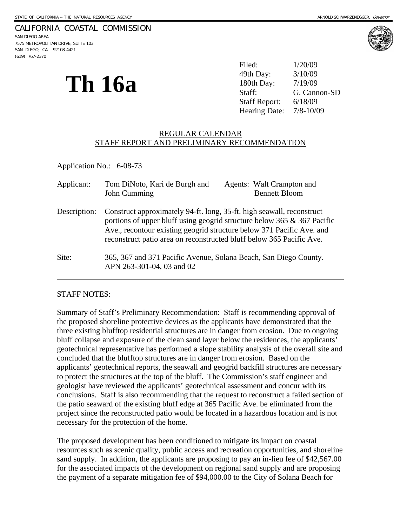#### CALIFORNIA COASTAL COMMISSION

SAN DIEGO AREA 7575 METROPOLITAN DRIVE, SUITE 103 SAN DIEGO, CA 92108-4421 (619) 767-2370

# Th 16a

|               | Filed:                    | 1/20/09      |
|---------------|---------------------------|--------------|
|               | 49th Day:                 | 3/10/09      |
| <b>Th 16a</b> | 180th Day:                | 7/19/09      |
|               | Staff:                    | G. Cannon-SD |
|               | Staff Report: $6/18/09$   |              |
|               | Hearing Date: $7/8-10/09$ |              |

#### REGULAR CALENDAR STAFF REPORT AND PRELIMINARY RECOMMENDATION

Application No.: 6-08-73

| Applicant:   | Tom DiNoto, Kari de Burgh and<br>John Cumming                                                                                                                                                                                                                                                        | <b>Agents:</b> Walt Crampton and<br><b>Bennett Bloom</b> |  |
|--------------|------------------------------------------------------------------------------------------------------------------------------------------------------------------------------------------------------------------------------------------------------------------------------------------------------|----------------------------------------------------------|--|
| Description: | Construct approximately 94-ft. long, 35-ft. high seawall, reconstruct<br>portions of upper bluff using geogrid structure below 365 $\&$ 367 Pacific<br>Ave., recontour existing geogrid structure below 371 Pacific Ave. and<br>reconstruct patio area on reconstructed bluff below 365 Pacific Ave. |                                                          |  |
| Site:        | 365, 367 and 371 Pacific Avenue, Solana Beach, San Diego County.<br>APN 263-301-04, 03 and 02                                                                                                                                                                                                        |                                                          |  |

#### STAFF NOTES:

Summary of Staff's Preliminary Recommendation: Staff is recommending approval of the proposed shoreline protective devices as the applicants have demonstrated that the three existing blufftop residential structures are in danger from erosion. Due to ongoing bluff collapse and exposure of the clean sand layer below the residences, the applicants' geotechnical representative has performed a slope stability analysis of the overall site and concluded that the blufftop structures are in danger from erosion. Based on the applicants' geotechnical reports, the seawall and geogrid backfill structures are necessary to protect the structures at the top of the bluff. The Commission's staff engineer and geologist have reviewed the applicants' geotechnical assessment and concur with its conclusions. Staff is also recommending that the request to reconstruct a failed section of the patio seaward of the existing bluff edge at 365 Pacific Ave. be eliminated from the project since the reconstructed patio would be located in a hazardous location and is not necessary for the protection of the home.

The proposed development has been conditioned to mitigate its impact on coastal resources such as scenic quality, public access and recreation opportunities, and shoreline sand supply. In addition, the applicants are proposing to pay an in-lieu fee of \$42,567.00 for the associated impacts of the development on regional sand supply and are proposing the payment of a separate mitigation fee of \$94,000.00 to the City of Solana Beach for

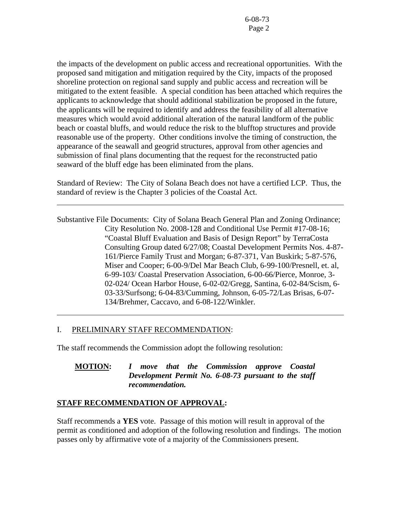the impacts of the development on public access and recreational opportunities. With the proposed sand mitigation and mitigation required by the City, impacts of the proposed shoreline protection on regional sand supply and public access and recreation will be mitigated to the extent feasible. A special condition has been attached which requires the applicants to acknowledge that should additional stabilization be proposed in the future, the applicants will be required to identify and address the feasibility of all alternative measures which would avoid additional alteration of the natural landform of the public beach or coastal bluffs, and would reduce the risk to the blufftop structures and provide reasonable use of the property. Other conditions involve the timing of construction, the appearance of the seawall and geogrid structures, approval from other agencies and submission of final plans documenting that the request for the reconstructed patio seaward of the bluff edge has been eliminated from the plans.

Standard of Review: The City of Solana Beach does not have a certified LCP. Thus, the standard of review is the Chapter 3 policies of the Coastal Act.

Substantive File Documents: City of Solana Beach General Plan and Zoning Ordinance; City Resolution No. 2008-128 and Conditional Use Permit #17-08-16; "Coastal Bluff Evaluation and Basis of Design Report" by TerraCosta Consulting Group dated 6/27/08; Coastal Development Permits Nos. 4-87- 161/Pierce Family Trust and Morgan; 6-87-371, Van Buskirk; 5-87-576, Miser and Cooper; 6-00-9/Del Mar Beach Club, 6-99-100/Presnell, et. al, 6-99-103/ Coastal Preservation Association, 6-00-66/Pierce, Monroe, 3- 02-024/ Ocean Harbor House, 6-02-02/Gregg, Santina, 6-02-84/Scism, 6- 03-33/Surfsong; 6-04-83/Cumming, Johnson, 6-05-72/Las Brisas, 6-07- 134/Brehmer, Caccavo, and 6-08-122/Winkler.

#### I. PRELIMINARY STAFF RECOMMENDATION:

l

l

The staff recommends the Commission adopt the following resolution:

#### **MOTION:** *I move that the Commission approve Coastal Development Permit No. 6-08-73 pursuant to the staff recommendation.*

#### **STAFF RECOMMENDATION OF APPROVAL:**

Staff recommends a **YES** vote. Passage of this motion will result in approval of the permit as conditioned and adoption of the following resolution and findings. The motion passes only by affirmative vote of a majority of the Commissioners present.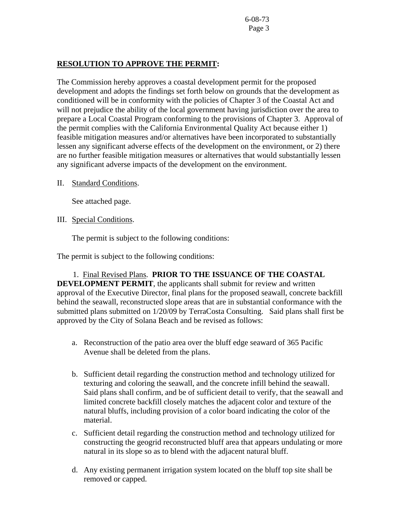#### **RESOLUTION TO APPROVE THE PERMIT:**

The Commission hereby approves a coastal development permit for the proposed development and adopts the findings set forth below on grounds that the development as conditioned will be in conformity with the policies of Chapter 3 of the Coastal Act and will not prejudice the ability of the local government having jurisdiction over the area to prepare a Local Coastal Program conforming to the provisions of Chapter 3. Approval of the permit complies with the California Environmental Quality Act because either 1) feasible mitigation measures and/or alternatives have been incorporated to substantially lessen any significant adverse effects of the development on the environment, or 2) there are no further feasible mitigation measures or alternatives that would substantially lessen any significant adverse impacts of the development on the environment.

#### II. Standard Conditions.

See attached page.

#### III. Special Conditions.

The permit is subject to the following conditions:

The permit is subject to the following conditions:

1. Final Revised Plans. **PRIOR TO THE ISSUANCE OF THE COASTAL DEVELOPMENT PERMIT**, the applicants shall submit for review and written approval of the Executive Director, final plans for the proposed seawall, concrete backfill behind the seawall, reconstructed slope areas that are in substantial conformance with the submitted plans submitted on 1/20/09 by TerraCosta Consulting. Said plans shall first be approved by the City of Solana Beach and be revised as follows:

- a. Reconstruction of the patio area over the bluff edge seaward of 365 Pacific Avenue shall be deleted from the plans.
- b. Sufficient detail regarding the construction method and technology utilized for texturing and coloring the seawall, and the concrete infill behind the seawall. Said plans shall confirm, and be of sufficient detail to verify, that the seawall and limited concrete backfill closely matches the adjacent color and texture of the natural bluffs, including provision of a color board indicating the color of the material.
- c. Sufficient detail regarding the construction method and technology utilized for constructing the geogrid reconstructed bluff area that appears undulating or more natural in its slope so as to blend with the adjacent natural bluff.
- d. Any existing permanent irrigation system located on the bluff top site shall be removed or capped.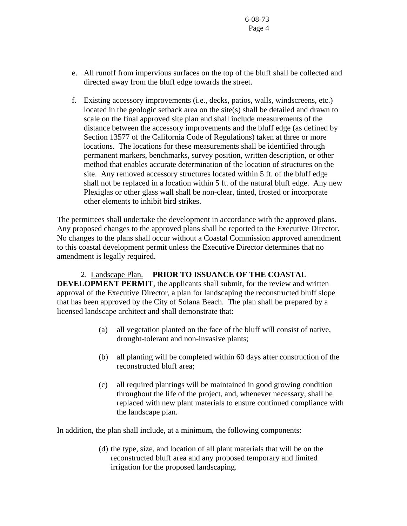- e. All runoff from impervious surfaces on the top of the bluff shall be collected and directed away from the bluff edge towards the street.
- f. Existing accessory improvements (i.e., decks, patios, walls, windscreens, etc.) located in the geologic setback area on the site(s) shall be detailed and drawn to scale on the final approved site plan and shall include measurements of the distance between the accessory improvements and the bluff edge (as defined by Section 13577 of the California Code of Regulations) taken at three or more locations. The locations for these measurements shall be identified through permanent markers, benchmarks, survey position, written description, or other method that enables accurate determination of the location of structures on the site. Any removed accessory structures located within 5 ft. of the bluff edge shall not be replaced in a location within 5 ft. of the natural bluff edge. Any new Plexiglas or other glass wall shall be non-clear, tinted, frosted or incorporate other elements to inhibit bird strikes.

The permittees shall undertake the development in accordance with the approved plans. Any proposed changes to the approved plans shall be reported to the Executive Director. No changes to the plans shall occur without a Coastal Commission approved amendment to this coastal development permit unless the Executive Director determines that no amendment is legally required.

2. Landscape Plan. **PRIOR TO ISSUANCE OF THE COASTAL DEVELOPMENT PERMIT**, the applicants shall submit, for the review and written approval of the Executive Director, a plan for landscaping the reconstructed bluff slope that has been approved by the City of Solana Beach. The plan shall be prepared by a licensed landscape architect and shall demonstrate that:

- (a) all vegetation planted on the face of the bluff will consist of native, drought-tolerant and non-invasive plants;
- (b) all planting will be completed within 60 days after construction of the reconstructed bluff area;
- (c) all required plantings will be maintained in good growing condition throughout the life of the project, and, whenever necessary, shall be replaced with new plant materials to ensure continued compliance with the landscape plan.

In addition, the plan shall include, at a minimum, the following components:

(d) the type, size, and location of all plant materials that will be on the reconstructed bluff area and any proposed temporary and limited irrigation for the proposed landscaping.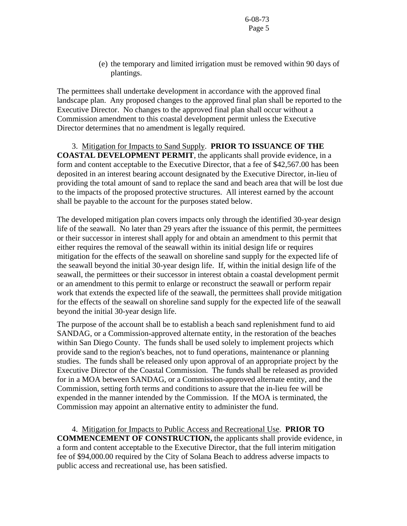(e) the temporary and limited irrigation must be removed within 90 days of plantings.

The permittees shall undertake development in accordance with the approved final landscape plan. Any proposed changes to the approved final plan shall be reported to the Executive Director. No changes to the approved final plan shall occur without a Commission amendment to this coastal development permit unless the Executive Director determines that no amendment is legally required.

 3. Mitigation for Impacts to Sand Supply. **PRIOR TO ISSUANCE OF THE COASTAL DEVELOPMENT PERMIT**, the applicants shall provide evidence, in a form and content acceptable to the Executive Director, that a fee of \$42,567.00 has been deposited in an interest bearing account designated by the Executive Director, in-lieu of providing the total amount of sand to replace the sand and beach area that will be lost due to the impacts of the proposed protective structures. All interest earned by the account shall be payable to the account for the purposes stated below.

The developed mitigation plan covers impacts only through the identified 30-year design life of the seawall. No later than 29 years after the issuance of this permit, the permittees or their successor in interest shall apply for and obtain an amendment to this permit that either requires the removal of the seawall within its initial design life or requires mitigation for the effects of the seawall on shoreline sand supply for the expected life of the seawall beyond the initial 30-year design life. If, within the initial design life of the seawall, the permittees or their successor in interest obtain a coastal development permit or an amendment to this permit to enlarge or reconstruct the seawall or perform repair work that extends the expected life of the seawall, the permittees shall provide mitigation for the effects of the seawall on shoreline sand supply for the expected life of the seawall beyond the initial 30-year design life.

The purpose of the account shall be to establish a beach sand replenishment fund to aid SANDAG, or a Commission-approved alternate entity, in the restoration of the beaches within San Diego County. The funds shall be used solely to implement projects which provide sand to the region's beaches, not to fund operations, maintenance or planning studies. The funds shall be released only upon approval of an appropriate project by the Executive Director of the Coastal Commission. The funds shall be released as provided for in a MOA between SANDAG, or a Commission-approved alternate entity, and the Commission, setting forth terms and conditions to assure that the in-lieu fee will be expended in the manner intended by the Commission. If the MOA is terminated, the Commission may appoint an alternative entity to administer the fund.

 4. Mitigation for Impacts to Public Access and Recreational Use. **PRIOR TO COMMENCEMENT OF CONSTRUCTION,** the applicants shall provide evidence, in a form and content acceptable to the Executive Director, that the full interim mitigation fee of \$94,000.00 required by the City of Solana Beach to address adverse impacts to public access and recreational use, has been satisfied.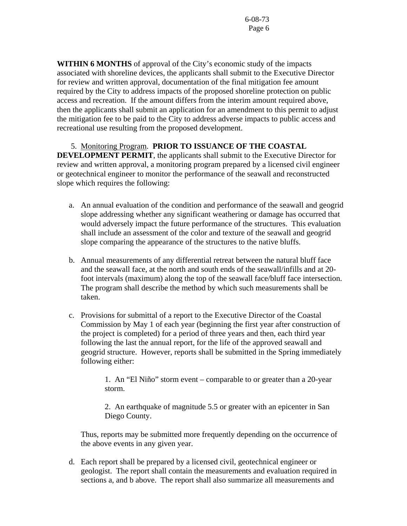**WITHIN 6 MONTHS** of approval of the City's economic study of the impacts associated with shoreline devices, the applicants shall submit to the Executive Director for review and written approval, documentation of the final mitigation fee amount required by the City to address impacts of the proposed shoreline protection on public access and recreation. If the amount differs from the interim amount required above, then the applicants shall submit an application for an amendment to this permit to adjust the mitigation fee to be paid to the City to address adverse impacts to public access and recreational use resulting from the proposed development.

#### 5. Monitoring Program. **PRIOR TO ISSUANCE OF THE COASTAL**

**DEVELOPMENT PERMIT**, the applicants shall submit to the Executive Director for review and written approval, a monitoring program prepared by a licensed civil engineer or geotechnical engineer to monitor the performance of the seawall and reconstructed slope which requires the following:

- a. An annual evaluation of the condition and performance of the seawall and geogrid slope addressing whether any significant weathering or damage has occurred that would adversely impact the future performance of the structures. This evaluation shall include an assessment of the color and texture of the seawall and geogrid slope comparing the appearance of the structures to the native bluffs.
- b. Annual measurements of any differential retreat between the natural bluff face and the seawall face, at the north and south ends of the seawall/infills and at 20 foot intervals (maximum) along the top of the seawall face/bluff face intersection. The program shall describe the method by which such measurements shall be taken.
- c. Provisions for submittal of a report to the Executive Director of the Coastal Commission by May 1 of each year (beginning the first year after construction of the project is completed) for a period of three years and then, each third year following the last the annual report, for the life of the approved seawall and geogrid structure. However, reports shall be submitted in the Spring immediately following either:

1. An "El Niño" storm event – comparable to or greater than a 20-year storm.

2. An earthquake of magnitude 5.5 or greater with an epicenter in San Diego County.

Thus, reports may be submitted more frequently depending on the occurrence of the above events in any given year.

d. Each report shall be prepared by a licensed civil, geotechnical engineer or geologist. The report shall contain the measurements and evaluation required in sections a, and b above. The report shall also summarize all measurements and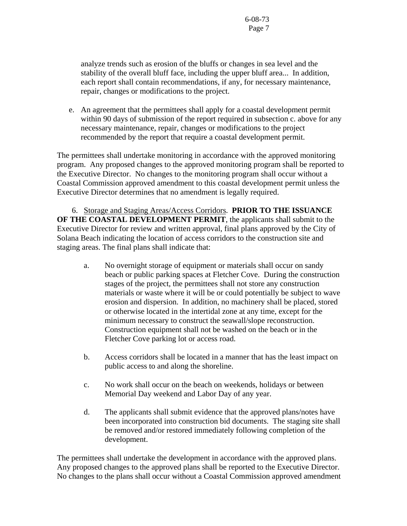analyze trends such as erosion of the bluffs or changes in sea level and the stability of the overall bluff face, including the upper bluff area... In addition, each report shall contain recommendations, if any, for necessary maintenance, repair, changes or modifications to the project.

e. An agreement that the permittees shall apply for a coastal development permit within 90 days of submission of the report required in subsection c. above for any necessary maintenance, repair, changes or modifications to the project recommended by the report that require a coastal development permit.

The permittees shall undertake monitoring in accordance with the approved monitoring program. Any proposed changes to the approved monitoring program shall be reported to the Executive Director. No changes to the monitoring program shall occur without a Coastal Commission approved amendment to this coastal development permit unless the Executive Director determines that no amendment is legally required.

 6. Storage and Staging Areas/Access Corridors. **PRIOR TO THE ISSUANCE OF THE COASTAL DEVELOPMENT PERMIT**, the applicants shall submit to the Executive Director for review and written approval, final plans approved by the City of Solana Beach indicating the location of access corridors to the construction site and staging areas. The final plans shall indicate that:

- a. No overnight storage of equipment or materials shall occur on sandy beach or public parking spaces at Fletcher Cove. During the construction stages of the project, the permittees shall not store any construction materials or waste where it will be or could potentially be subject to wave erosion and dispersion. In addition, no machinery shall be placed, stored or otherwise located in the intertidal zone at any time, except for the minimum necessary to construct the seawall/slope reconstruction. Construction equipment shall not be washed on the beach or in the Fletcher Cove parking lot or access road.
- b. Access corridors shall be located in a manner that has the least impact on public access to and along the shoreline.
- c. No work shall occur on the beach on weekends, holidays or between Memorial Day weekend and Labor Day of any year.
- d. The applicants shall submit evidence that the approved plans/notes have been incorporated into construction bid documents. The staging site shall be removed and/or restored immediately following completion of the development.

The permittees shall undertake the development in accordance with the approved plans. Any proposed changes to the approved plans shall be reported to the Executive Director. No changes to the plans shall occur without a Coastal Commission approved amendment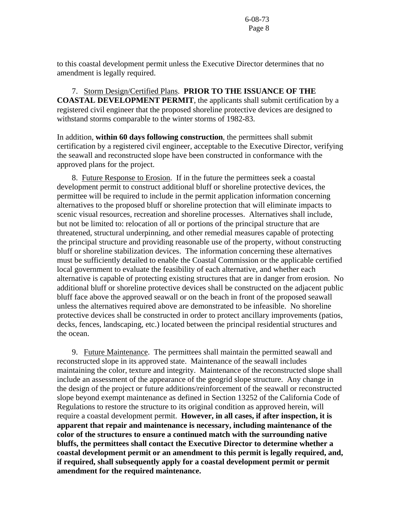to this coastal development permit unless the Executive Director determines that no amendment is legally required.

 7. Storm Design/Certified Plans. **PRIOR TO THE ISSUANCE OF THE COASTAL DEVELOPMENT PERMIT**, the applicants shall submit certification by a registered civil engineer that the proposed shoreline protective devices are designed to withstand storms comparable to the winter storms of 1982-83.

In addition, **within 60 days following construction**, the permittees shall submit certification by a registered civil engineer, acceptable to the Executive Director, verifying the seawall and reconstructed slope have been constructed in conformance with the approved plans for the project.

 8. Future Response to Erosion. If in the future the permittees seek a coastal development permit to construct additional bluff or shoreline protective devices, the permittee will be required to include in the permit application information concerning alternatives to the proposed bluff or shoreline protection that will eliminate impacts to scenic visual resources, recreation and shoreline processes. Alternatives shall include, but not be limited to: relocation of all or portions of the principal structure that are threatened, structural underpinning, and other remedial measures capable of protecting the principal structure and providing reasonable use of the property, without constructing bluff or shoreline stabilization devices. The information concerning these alternatives must be sufficiently detailed to enable the Coastal Commission or the applicable certified local government to evaluate the feasibility of each alternative, and whether each alternative is capable of protecting existing structures that are in danger from erosion. No additional bluff or shoreline protective devices shall be constructed on the adjacent public bluff face above the approved seawall or on the beach in front of the proposed seawall unless the alternatives required above are demonstrated to be infeasible. No shoreline protective devices shall be constructed in order to protect ancillary improvements (patios, decks, fences, landscaping, etc.) located between the principal residential structures and the ocean.

 9. Future Maintenance. The permittees shall maintain the permitted seawall and reconstructed slope in its approved state. Maintenance of the seawall includes maintaining the color, texture and integrity. Maintenance of the reconstructed slope shall include an assessment of the appearance of the geogrid slope structure. Any change in the design of the project or future additions/reinforcement of the seawall or reconstructed slope beyond exempt maintenance as defined in Section 13252 of the California Code of Regulations to restore the structure to its original condition as approved herein, will require a coastal development permit. **However, in all cases, if after inspection, it is apparent that repair and maintenance is necessary, including maintenance of the color of the structures to ensure a continued match with the surrounding native bluffs, the permittees shall contact the Executive Director to determine whether a coastal development permit or an amendment to this permit is legally required, and, if required, shall subsequently apply for a coastal development permit or permit amendment for the required maintenance.**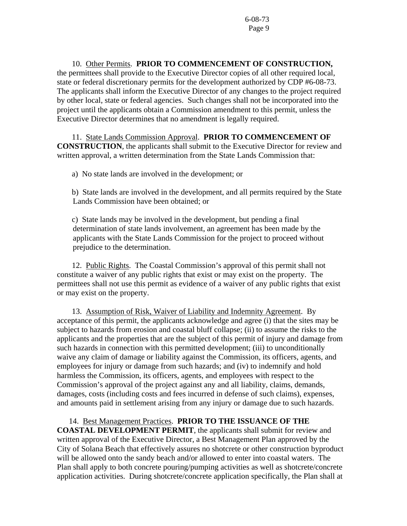10. Other Permits. **PRIOR TO COMMENCEMENT OF CONSTRUCTION,**  the permittees shall provide to the Executive Director copies of all other required local, state or federal discretionary permits for the development authorized by CDP #6-08-73. The applicants shall inform the Executive Director of any changes to the project required by other local, state or federal agencies. Such changes shall not be incorporated into the project until the applicants obtain a Commission amendment to this permit, unless the Executive Director determines that no amendment is legally required.

 11. State Lands Commission Approval. **PRIOR TO COMMENCEMENT OF CONSTRUCTION**, the applicants shall submit to the Executive Director for review and written approval, a written determination from the State Lands Commission that:

a) No state lands are involved in the development; or

 b) State lands are involved in the development, and all permits required by the State Lands Commission have been obtained; or

 c) State lands may be involved in the development, but pending a final determination of state lands involvement, an agreement has been made by the applicants with the State Lands Commission for the project to proceed without prejudice to the determination.

 12. Public Rights. The Coastal Commission's approval of this permit shall not constitute a waiver of any public rights that exist or may exist on the property. The permittees shall not use this permit as evidence of a waiver of any public rights that exist or may exist on the property.

13. Assumption of Risk, Waiver of Liability and Indemnity Agreement. By acceptance of this permit, the applicants acknowledge and agree (i) that the sites may be subject to hazards from erosion and coastal bluff collapse; (ii) to assume the risks to the applicants and the properties that are the subject of this permit of injury and damage from such hazards in connection with this permitted development; (iii) to unconditionally waive any claim of damage or liability against the Commission, its officers, agents, and employees for injury or damage from such hazards; and (iv) to indemnify and hold harmless the Commission, its officers, agents, and employees with respect to the Commission's approval of the project against any and all liability, claims, demands, damages, costs (including costs and fees incurred in defense of such claims), expenses, and amounts paid in settlement arising from any injury or damage due to such hazards.

#### 14. Best Management Practices. **PRIOR TO THE ISSUANCE OF THE**

**COASTAL DEVELOPMENT PERMIT**, the applicants shall submit for review and written approval of the Executive Director, a Best Management Plan approved by the City of Solana Beach that effectively assures no shotcrete or other construction byproduct will be allowed onto the sandy beach and/or allowed to enter into coastal waters. The Plan shall apply to both concrete pouring/pumping activities as well as shotcrete/concrete application activities. During shotcrete/concrete application specifically, the Plan shall at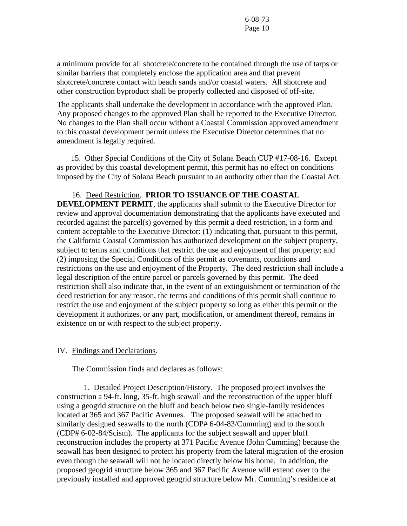a minimum provide for all shotcrete/concrete to be contained through the use of tarps or similar barriers that completely enclose the application area and that prevent shotcrete/concrete contact with beach sands and/or coastal waters. All shotcrete and other construction byproduct shall be properly collected and disposed of off-site.

The applicants shall undertake the development in accordance with the approved Plan. Any proposed changes to the approved Plan shall be reported to the Executive Director. No changes to the Plan shall occur without a Coastal Commission approved amendment to this coastal development permit unless the Executive Director determines that no amendment is legally required.

 15. Other Special Conditions of the City of Solana Beach CUP #17-08-16. Except as provided by this coastal development permit, this permit has no effect on conditions imposed by the City of Solana Beach pursuant to an authority other than the Coastal Act.

### 16. Deed Restriction. **PRIOR TO ISSUANCE OF THE COASTAL**

**DEVELOPMENT PERMIT**, the applicants shall submit to the Executive Director for review and approval documentation demonstrating that the applicants have executed and recorded against the parcel(s) governed by this permit a deed restriction, in a form and content acceptable to the Executive Director: (1) indicating that, pursuant to this permit, the California Coastal Commission has authorized development on the subject property, subject to terms and conditions that restrict the use and enjoyment of that property; and (2) imposing the Special Conditions of this permit as covenants, conditions and restrictions on the use and enjoyment of the Property. The deed restriction shall include a legal description of the entire parcel or parcels governed by this permit. The deed restriction shall also indicate that, in the event of an extinguishment or termination of the deed restriction for any reason, the terms and conditions of this permit shall continue to restrict the use and enjoyment of the subject property so long as either this permit or the development it authorizes, or any part, modification, or amendment thereof, remains in existence on or with respect to the subject property.

#### IV. Findings and Declarations.

The Commission finds and declares as follows:

 1. Detailed Project Description/History. The proposed project involves the construction a 94-ft. long, 35-ft. high seawall and the reconstruction of the upper bluff using a geogrid structure on the bluff and beach below two single-family residences located at 365 and 367 Pacific Avenues. The proposed seawall will be attached to similarly designed seawalls to the north (CDP# 6-04-83/Cumming) and to the south (CDP# 6-02-84/Scism). The applicants for the subject seawall and upper bluff reconstruction includes the property at 371 Pacific Avenue (John Cumming) because the seawall has been designed to protect his property from the lateral migration of the erosion even though the seawall will not be located directly below his home. In addition, the proposed geogrid structure below 365 and 367 Pacific Avenue will extend over to the previously installed and approved geogrid structure below Mr. Cumming's residence at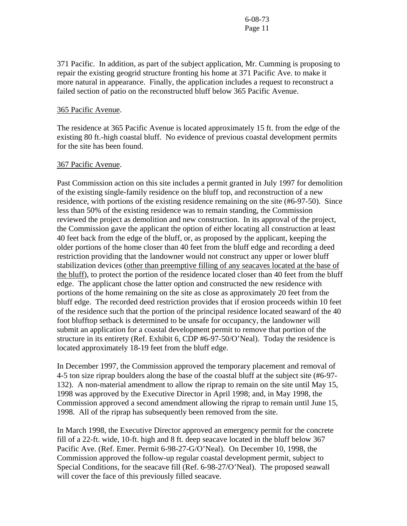371 Pacific. In addition, as part of the subject application, Mr. Cumming is proposing to repair the existing geogrid structure fronting his home at 371 Pacific Ave. to make it more natural in appearance. Finally, the application includes a request to reconstruct a failed section of patio on the reconstructed bluff below 365 Pacific Avenue.

#### 365 Pacific Avenue.

The residence at 365 Pacific Avenue is located approximately 15 ft. from the edge of the existing 80 ft.-high coastal bluff. No evidence of previous coastal development permits for the site has been found.

#### 367 Pacific Avenue.

Past Commission action on this site includes a permit granted in July 1997 for demolition of the existing single-family residence on the bluff top, and reconstruction of a new residence, with portions of the existing residence remaining on the site (#6-97-50). Since less than 50% of the existing residence was to remain standing, the Commission reviewed the project as demolition and new construction. In its approval of the project, the Commission gave the applicant the option of either locating all construction at least 40 feet back from the edge of the bluff, or, as proposed by the applicant, keeping the older portions of the home closer than 40 feet from the bluff edge and recording a deed restriction providing that the landowner would not construct any upper or lower bluff stabilization devices (other than preemptive filling of any seacaves located at the base of the bluff), to protect the portion of the residence located closer than 40 feet from the bluff edge. The applicant chose the latter option and constructed the new residence with portions of the home remaining on the site as close as approximately 20 feet from the bluff edge. The recorded deed restriction provides that if erosion proceeds within 10 feet of the residence such that the portion of the principal residence located seaward of the 40 foot blufftop setback is determined to be unsafe for occupancy, the landowner will submit an application for a coastal development permit to remove that portion of the structure in its entirety (Ref. Exhibit 6, CDP #6-97-50/O'Neal). Today the residence is located approximately 18-19 feet from the bluff edge.

In December 1997, the Commission approved the temporary placement and removal of 4-5 ton size riprap boulders along the base of the coastal bluff at the subject site (#6-97- 132). A non-material amendment to allow the riprap to remain on the site until May 15, 1998 was approved by the Executive Director in April 1998; and, in May 1998, the Commission approved a second amendment allowing the riprap to remain until June 15, 1998. All of the riprap has subsequently been removed from the site.

In March 1998, the Executive Director approved an emergency permit for the concrete fill of a 22-ft. wide, 10-ft. high and 8 ft. deep seacave located in the bluff below 367 Pacific Ave. (Ref. Emer. Permit 6-98-27-G/O'Neal). On December 10, 1998, the Commission approved the follow-up regular coastal development permit, subject to Special Conditions, for the seacave fill (Ref. 6-98-27/O'Neal). The proposed seawall will cover the face of this previously filled seacave.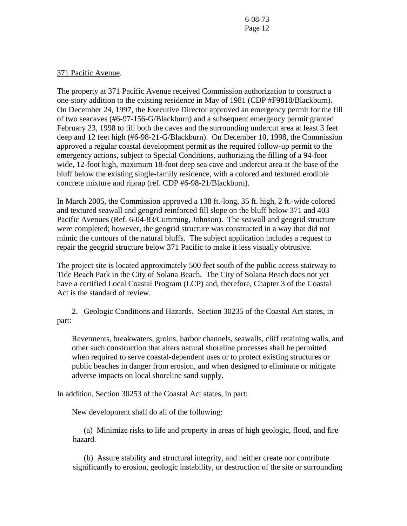#### 371 Pacific Avenue.

The property at 371 Pacific Avenue received Commission authorization to construct a one-story addition to the existing residence in May of 1981 (CDP #F9818/Blackburn). On December 24, 1997, the Executive Director approved an emergency permit for the fill of two seacaves (#6-97-156-G/Blackburn) and a subsequent emergency permit granted February 23, 1998 to fill both the caves and the surrounding undercut area at least 3 feet deep and 12 feet high (#6-98-21-G/Blackburn). On December 10, 1998, the Commission approved a regular coastal development permit as the required follow-up permit to the emergency actions, subject to Special Conditions, authorizing the filling of a 94-foot wide, 12-foot high, maximum 18-foot deep sea cave and undercut area at the base of the bluff below the existing single-family residence, with a colored and textured erodible concrete mixture and riprap (ref. CDP #6-98-21/Blackburn).

In March 2005, the Commission approved a 138 ft.-long, 35 ft. high, 2 ft.-wide colored and textured seawall and geogrid reinforced fill slope on the bluff below 371 and 403 Pacific Avenues (Ref. 6-04-83/Cumming, Johnson). The seawall and geogrid structure were completed; however, the geogrid structure was constructed in a way that did not mimic the contours of the natural bluffs. The subject application includes a request to repair the geogrid structure below 371 Pacific to make it less visually obtrusive.

The project site is located approximately 500 feet south of the public access stairway to Tide Beach Park in the City of Solana Beach. The City of Solana Beach does not yet have a certified Local Coastal Program (LCP) and, therefore, Chapter 3 of the Coastal Act is the standard of review.

 2. Geologic Conditions and Hazards. Section 30235 of the Coastal Act states, in part:

Revetments, breakwaters, groins, harbor channels, seawalls, cliff retaining walls, and other such construction that alters natural shoreline processes shall be permitted when required to serve coastal-dependent uses or to protect existing structures or public beaches in danger from erosion, and when designed to eliminate or mitigate adverse impacts on local shoreline sand supply.

In addition, Section 30253 of the Coastal Act states, in part:

New development shall do all of the following:

 (a) Minimize risks to life and property in areas of high geologic, flood, and fire hazard.

 (b) Assure stability and structural integrity, and neither create nor contribute significantly to erosion, geologic instability, or destruction of the site or surrounding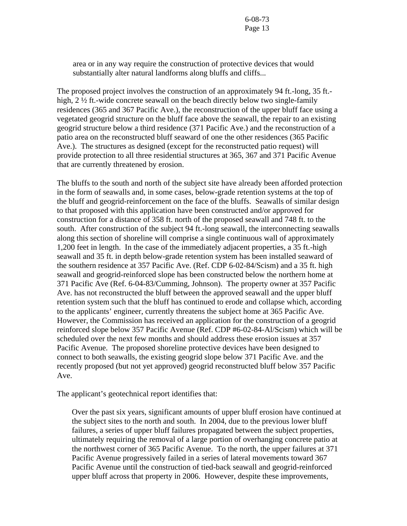area or in any way require the construction of protective devices that would substantially alter natural landforms along bluffs and cliffs...

The proposed project involves the construction of an approximately 94 ft.-long, 35 ft. high, 2 ½ ft.-wide concrete seawall on the beach directly below two single-family residences (365 and 367 Pacific Ave.), the reconstruction of the upper bluff face using a vegetated geogrid structure on the bluff face above the seawall, the repair to an existing geogrid structure below a third residence (371 Pacific Ave.) and the reconstruction of a patio area on the reconstructed bluff seaward of one the other residences (365 Pacific Ave.). The structures as designed (except for the reconstructed patio request) will provide protection to all three residential structures at 365, 367 and 371 Pacific Avenue that are currently threatened by erosion.

The bluffs to the south and north of the subject site have already been afforded protection in the form of seawalls and, in some cases, below-grade retention systems at the top of the bluff and geogrid-reinforcement on the face of the bluffs. Seawalls of similar design to that proposed with this application have been constructed and/or approved for construction for a distance of 358 ft. north of the proposed seawall and 748 ft. to the south. After construction of the subject 94 ft.-long seawall, the interconnecting seawalls along this section of shoreline will comprise a single continuous wall of approximately 1,200 feet in length. In the case of the immediately adjacent properties, a 35 ft.-high seawall and 35 ft. in depth below-grade retention system has been installed seaward of the southern residence at 357 Pacific Ave. (Ref. CDP 6-02-84/Scism) and a 35 ft. high seawall and geogrid-reinforced slope has been constructed below the northern home at 371 Pacific Ave (Ref. 6-04-83/Cumming, Johnson). The property owner at 357 Pacific Ave. has not reconstructed the bluff between the approved seawall and the upper bluff retention system such that the bluff has continued to erode and collapse which, according to the applicants' engineer, currently threatens the subject home at 365 Pacific Ave. However, the Commission has received an application for the construction of a geogrid reinforced slope below 357 Pacific Avenue (Ref. CDP #6-02-84-Al/Scism) which will be scheduled over the next few months and should address these erosion issues at 357 Pacific Avenue. The proposed shoreline protective devices have been designed to connect to both seawalls, the existing geogrid slope below 371 Pacific Ave. and the recently proposed (but not yet approved) geogrid reconstructed bluff below 357 Pacific Ave.

The applicant's geotechnical report identifies that:

Over the past six years, significant amounts of upper bluff erosion have continued at the subject sites to the north and south. In 2004, due to the previous lower bluff failures, a series of upper bluff failures propagated between the subject properties, ultimately requiring the removal of a large portion of overhanging concrete patio at the northwest corner of 365 Pacific Avenue. To the north, the upper failures at 371 Pacific Avenue progressively failed in a series of lateral movements toward 367 Pacific Avenue until the construction of tied-back seawall and geogrid-reinforced upper bluff across that property in 2006. However, despite these improvements,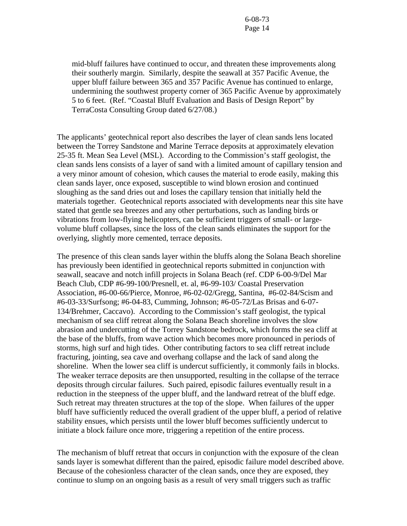mid-bluff failures have continued to occur, and threaten these improvements along their southerly margin. Similarly, despite the seawall at 357 Pacific Avenue, the upper bluff failure between 365 and 357 Pacific Avenue has continued to enlarge, undermining the southwest property corner of 365 Pacific Avenue by approximately 5 to 6 feet. (Ref. "Coastal Bluff Evaluation and Basis of Design Report" by TerraCosta Consulting Group dated 6/27/08.)

The applicants' geotechnical report also describes the layer of clean sands lens located between the Torrey Sandstone and Marine Terrace deposits at approximately elevation 25-35 ft. Mean Sea Level (MSL). According to the Commission's staff geologist, the clean sands lens consists of a layer of sand with a limited amount of capillary tension and a very minor amount of cohesion, which causes the material to erode easily, making this clean sands layer, once exposed, susceptible to wind blown erosion and continued sloughing as the sand dries out and loses the capillary tension that initially held the materials together. Geotechnical reports associated with developments near this site have stated that gentle sea breezes and any other perturbations, such as landing birds or vibrations from low-flying helicopters, can be sufficient triggers of small- or largevolume bluff collapses, since the loss of the clean sands eliminates the support for the overlying, slightly more cemented, terrace deposits.

The presence of this clean sands layer within the bluffs along the Solana Beach shoreline has previously been identified in geotechnical reports submitted in conjunction with seawall, seacave and notch infill projects in Solana Beach (ref. CDP 6-00-9/Del Mar Beach Club, CDP #6-99-100/Presnell, et. al, #6-99-103/ Coastal Preservation Association, #6-00-66/Pierce, Monroe, #6-02-02/Gregg, Santina, #6-02-84/Scism and #6-03-33/Surfsong; #6-04-83, Cumming, Johnson; #6-05-72/Las Brisas and 6-07- 134/Brehmer, Caccavo). According to the Commission's staff geologist, the typical mechanism of sea cliff retreat along the Solana Beach shoreline involves the slow abrasion and undercutting of the Torrey Sandstone bedrock, which forms the sea cliff at the base of the bluffs, from wave action which becomes more pronounced in periods of storms, high surf and high tides. Other contributing factors to sea cliff retreat include fracturing, jointing, sea cave and overhang collapse and the lack of sand along the shoreline. When the lower sea cliff is undercut sufficiently, it commonly fails in blocks. The weaker terrace deposits are then unsupported, resulting in the collapse of the terrace deposits through circular failures. Such paired, episodic failures eventually result in a reduction in the steepness of the upper bluff, and the landward retreat of the bluff edge. Such retreat may threaten structures at the top of the slope. When failures of the upper bluff have sufficiently reduced the overall gradient of the upper bluff, a period of relative stability ensues, which persists until the lower bluff becomes sufficiently undercut to initiate a block failure once more, triggering a repetition of the entire process.

The mechanism of bluff retreat that occurs in conjunction with the exposure of the clean sands layer is somewhat different than the paired, episodic failure model described above. Because of the cohesionless character of the clean sands, once they are exposed, they continue to slump on an ongoing basis as a result of very small triggers such as traffic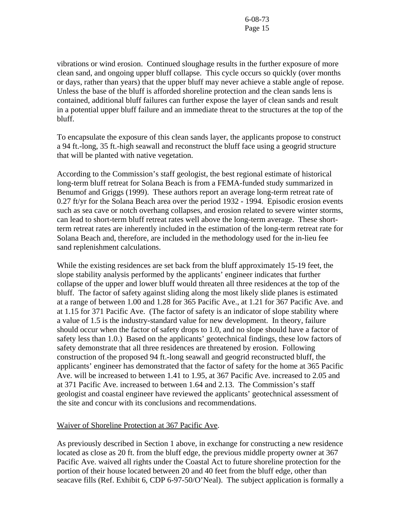vibrations or wind erosion. Continued sloughage results in the further exposure of more clean sand, and ongoing upper bluff collapse. This cycle occurs so quickly (over months or days, rather than years) that the upper bluff may never achieve a stable angle of repose. Unless the base of the bluff is afforded shoreline protection and the clean sands lens is contained, additional bluff failures can further expose the layer of clean sands and result in a potential upper bluff failure and an immediate threat to the structures at the top of the bluff.

To encapsulate the exposure of this clean sands layer, the applicants propose to construct a 94 ft.-long, 35 ft.-high seawall and reconstruct the bluff face using a geogrid structure that will be planted with native vegetation.

According to the Commission's staff geologist, the best regional estimate of historical long-term bluff retreat for Solana Beach is from a FEMA-funded study summarized in Benumof and Griggs (1999). These authors report an average long-term retreat rate of 0.27 ft/yr for the Solana Beach area over the period 1932 - 1994. Episodic erosion events such as sea cave or notch overhang collapses, and erosion related to severe winter storms, can lead to short-term bluff retreat rates well above the long-term average. These shortterm retreat rates are inherently included in the estimation of the long-term retreat rate for Solana Beach and, therefore, are included in the methodology used for the in-lieu fee sand replenishment calculations.

While the existing residences are set back from the bluff approximately 15-19 feet, the slope stability analysis performed by the applicants' engineer indicates that further collapse of the upper and lower bluff would threaten all three residences at the top of the bluff. The factor of safety against sliding along the most likely slide planes is estimated at a range of between 1.00 and 1.28 for 365 Pacific Ave., at 1.21 for 367 Pacific Ave. and at 1.15 for 371 Pacific Ave. (The factor of safety is an indicator of slope stability where a value of 1.5 is the industry-standard value for new development. In theory, failure should occur when the factor of safety drops to 1.0, and no slope should have a factor of safety less than 1.0.) Based on the applicants' geotechnical findings, these low factors of safety demonstrate that all three residences are threatened by erosion. Following construction of the proposed 94 ft.-long seawall and geogrid reconstructed bluff, the applicants' engineer has demonstrated that the factor of safety for the home at 365 Pacific Ave. will be increased to between 1.41 to 1.95, at 367 Pacific Ave. increased to 2.05 and at 371 Pacific Ave. increased to between 1.64 and 2.13. The Commission's staff geologist and coastal engineer have reviewed the applicants' geotechnical assessment of the site and concur with its conclusions and recommendations.

#### Waiver of Shoreline Protection at 367 Pacific Ave.

As previously described in Section 1 above, in exchange for constructing a new residence located as close as 20 ft. from the bluff edge, the previous middle property owner at 367 Pacific Ave. waived all rights under the Coastal Act to future shoreline protection for the portion of their house located between 20 and 40 feet from the bluff edge, other than seacave fills (Ref. Exhibit 6, CDP 6-97-50/O'Neal). The subject application is formally a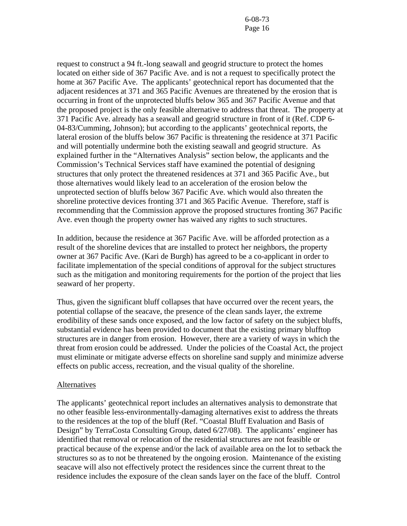request to construct a 94 ft.-long seawall and geogrid structure to protect the homes located on either side of 367 Pacific Ave. and is not a request to specifically protect the home at 367 Pacific Ave. The applicants' geotechnical report has documented that the adjacent residences at 371 and 365 Pacific Avenues are threatened by the erosion that is occurring in front of the unprotected bluffs below 365 and 367 Pacific Avenue and that the proposed project is the only feasible alternative to address that threat. The property at 371 Pacific Ave. already has a seawall and geogrid structure in front of it (Ref. CDP 6- 04-83/Cumming, Johnson); but according to the applicants' geotechnical reports, the lateral erosion of the bluffs below 367 Pacific is threatening the residence at 371 Pacific and will potentially undermine both the existing seawall and geogrid structure. As explained further in the "Alternatives Analysis" section below, the applicants and the Commission's Technical Services staff have examined the potential of designing structures that only protect the threatened residences at 371 and 365 Pacific Ave., but those alternatives would likely lead to an acceleration of the erosion below the unprotected section of bluffs below 367 Pacific Ave. which would also threaten the shoreline protective devices fronting 371 and 365 Pacific Avenue. Therefore, staff is recommending that the Commission approve the proposed structures fronting 367 Pacific Ave. even though the property owner has waived any rights to such structures.

In addition, because the residence at 367 Pacific Ave. will be afforded protection as a result of the shoreline devices that are installed to protect her neighbors, the property owner at 367 Pacific Ave. (Kari de Burgh) has agreed to be a co-applicant in order to facilitate implementation of the special conditions of approval for the subject structures such as the mitigation and monitoring requirements for the portion of the project that lies seaward of her property.

Thus, given the significant bluff collapses that have occurred over the recent years, the potential collapse of the seacave, the presence of the clean sands layer, the extreme erodibility of these sands once exposed, and the low factor of safety on the subject bluffs, substantial evidence has been provided to document that the existing primary blufftop structures are in danger from erosion. However, there are a variety of ways in which the threat from erosion could be addressed. Under the policies of the Coastal Act, the project must eliminate or mitigate adverse effects on shoreline sand supply and minimize adverse effects on public access, recreation, and the visual quality of the shoreline.

#### **Alternatives**

The applicants' geotechnical report includes an alternatives analysis to demonstrate that no other feasible less-environmentally-damaging alternatives exist to address the threats to the residences at the top of the bluff (Ref. "Coastal Bluff Evaluation and Basis of Design" by TerraCosta Consulting Group, dated 6/27/08). The applicants' engineer has identified that removal or relocation of the residential structures are not feasible or practical because of the expense and/or the lack of available area on the lot to setback the structures so as to not be threatened by the ongoing erosion. Maintenance of the existing seacave will also not effectively protect the residences since the current threat to the residence includes the exposure of the clean sands layer on the face of the bluff. Control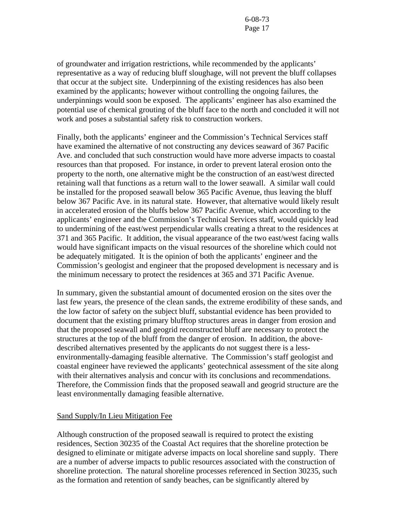of groundwater and irrigation restrictions, while recommended by the applicants' representative as a way of reducing bluff sloughage, will not prevent the bluff collapses that occur at the subject site. Underpinning of the existing residences has also been examined by the applicants; however without controlling the ongoing failures, the underpinnings would soon be exposed. The applicants' engineer has also examined the potential use of chemical grouting of the bluff face to the north and concluded it will not work and poses a substantial safety risk to construction workers.

Finally, both the applicants' engineer and the Commission's Technical Services staff have examined the alternative of not constructing any devices seaward of 367 Pacific Ave. and concluded that such construction would have more adverse impacts to coastal resources than that proposed. For instance, in order to prevent lateral erosion onto the property to the north, one alternative might be the construction of an east/west directed retaining wall that functions as a return wall to the lower seawall. A similar wall could be installed for the proposed seawall below 365 Pacific Avenue, thus leaving the bluff below 367 Pacific Ave. in its natural state. However, that alternative would likely result in accelerated erosion of the bluffs below 367 Pacific Avenue, which according to the applicants' engineer and the Commission's Technical Services staff, would quickly lead to undermining of the east/west perpendicular walls creating a threat to the residences at 371 and 365 Pacific. It addition, the visual appearance of the two east/west facing walls would have significant impacts on the visual resources of the shoreline which could not be adequately mitigated. It is the opinion of both the applicants' engineer and the Commission's geologist and engineer that the proposed development is necessary and is the minimum necessary to protect the residences at 365 and 371 Pacific Avenue.

In summary, given the substantial amount of documented erosion on the sites over the last few years, the presence of the clean sands, the extreme erodibility of these sands, and the low factor of safety on the subject bluff, substantial evidence has been provided to document that the existing primary blufftop structures areas in danger from erosion and that the proposed seawall and geogrid reconstructed bluff are necessary to protect the structures at the top of the bluff from the danger of erosion. In addition, the abovedescribed alternatives presented by the applicants do not suggest there is a lessenvironmentally-damaging feasible alternative. The Commission's staff geologist and coastal engineer have reviewed the applicants' geotechnical assessment of the site along with their alternatives analysis and concur with its conclusions and recommendations. Therefore, the Commission finds that the proposed seawall and geogrid structure are the least environmentally damaging feasible alternative.

#### Sand Supply/In Lieu Mitigation Fee

Although construction of the proposed seawall is required to protect the existing residences, Section 30235 of the Coastal Act requires that the shoreline protection be designed to eliminate or mitigate adverse impacts on local shoreline sand supply. There are a number of adverse impacts to public resources associated with the construction of shoreline protection. The natural shoreline processes referenced in Section 30235, such as the formation and retention of sandy beaches, can be significantly altered by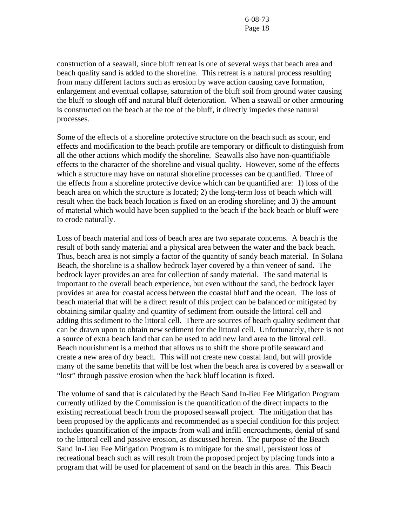construction of a seawall, since bluff retreat is one of several ways that beach area and beach quality sand is added to the shoreline. This retreat is a natural process resulting from many different factors such as erosion by wave action causing cave formation, enlargement and eventual collapse, saturation of the bluff soil from ground water causing the bluff to slough off and natural bluff deterioration. When a seawall or other armouring is constructed on the beach at the toe of the bluff, it directly impedes these natural processes.

Some of the effects of a shoreline protective structure on the beach such as scour, end effects and modification to the beach profile are temporary or difficult to distinguish from all the other actions which modify the shoreline. Seawalls also have non-quantifiable effects to the character of the shoreline and visual quality. However, some of the effects which a structure may have on natural shoreline processes can be quantified. Three of the effects from a shoreline protective device which can be quantified are: 1) loss of the beach area on which the structure is located; 2) the long-term loss of beach which will result when the back beach location is fixed on an eroding shoreline; and 3) the amount of material which would have been supplied to the beach if the back beach or bluff were to erode naturally.

Loss of beach material and loss of beach area are two separate concerns. A beach is the result of both sandy material and a physical area between the water and the back beach. Thus, beach area is not simply a factor of the quantity of sandy beach material. In Solana Beach, the shoreline is a shallow bedrock layer covered by a thin veneer of sand. The bedrock layer provides an area for collection of sandy material. The sand material is important to the overall beach experience, but even without the sand, the bedrock layer provides an area for coastal access between the coastal bluff and the ocean. The loss of beach material that will be a direct result of this project can be balanced or mitigated by obtaining similar quality and quantity of sediment from outside the littoral cell and adding this sediment to the littoral cell. There are sources of beach quality sediment that can be drawn upon to obtain new sediment for the littoral cell. Unfortunately, there is not a source of extra beach land that can be used to add new land area to the littoral cell. Beach nourishment is a method that allows us to shift the shore profile seaward and create a new area of dry beach. This will not create new coastal land, but will provide many of the same benefits that will be lost when the beach area is covered by a seawall or "lost" through passive erosion when the back bluff location is fixed.

The volume of sand that is calculated by the Beach Sand In-lieu Fee Mitigation Program currently utilized by the Commission is the quantification of the direct impacts to the existing recreational beach from the proposed seawall project. The mitigation that has been proposed by the applicants and recommended as a special condition for this project includes quantification of the impacts from wall and infill encroachments, denial of sand to the littoral cell and passive erosion, as discussed herein. The purpose of the Beach Sand In-Lieu Fee Mitigation Program is to mitigate for the small, persistent loss of recreational beach such as will result from the proposed project by placing funds into a program that will be used for placement of sand on the beach in this area. This Beach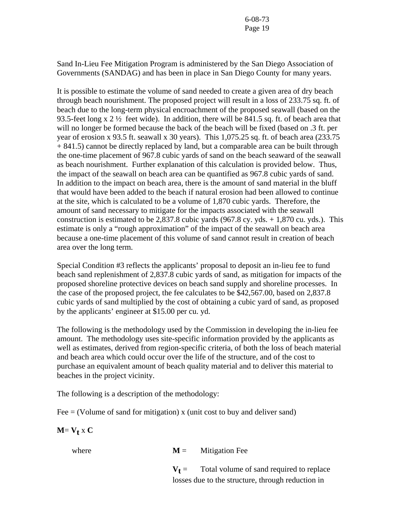Sand In-Lieu Fee Mitigation Program is administered by the San Diego Association of Governments (SANDAG) and has been in place in San Diego County for many years.

It is possible to estimate the volume of sand needed to create a given area of dry beach through beach nourishment. The proposed project will result in a loss of 233.75 sq. ft. of beach due to the long-term physical encroachment of the proposed seawall (based on the 93.5-feet long  $x 2 \frac{1}{2}$  feet wide). In addition, there will be 841.5 sq. ft. of beach area that will no longer be formed because the back of the beach will be fixed (based on .3 ft. per year of erosion x 93.5 ft. seawall x 30 years). This 1,075.25 sq. ft. of beach area (233.75 + 841.5) cannot be directly replaced by land, but a comparable area can be built through the one-time placement of 967.8 cubic yards of sand on the beach seaward of the seawall as beach nourishment. Further explanation of this calculation is provided below. Thus, the impact of the seawall on beach area can be quantified as 967.8 cubic yards of sand. In addition to the impact on beach area, there is the amount of sand material in the bluff that would have been added to the beach if natural erosion had been allowed to continue at the site, which is calculated to be a volume of 1,870 cubic yards. Therefore, the amount of sand necessary to mitigate for the impacts associated with the seawall construction is estimated to be 2,837.8 cubic yards  $(967.8 \text{ cy. yds.} + 1,870 \text{ cu. yds.})$ . This estimate is only a "rough approximation" of the impact of the seawall on beach area because a one-time placement of this volume of sand cannot result in creation of beach area over the long term.

Special Condition #3 reflects the applicants' proposal to deposit an in-lieu fee to fund beach sand replenishment of 2,837.8 cubic yards of sand, as mitigation for impacts of the proposed shoreline protective devices on beach sand supply and shoreline processes. In the case of the proposed project, the fee calculates to be \$42,567.00, based on 2,837.8 cubic yards of sand multiplied by the cost of obtaining a cubic yard of sand, as proposed by the applicants' engineer at \$15.00 per cu. yd.

The following is the methodology used by the Commission in developing the in-lieu fee amount. The methodology uses site-specific information provided by the applicants as well as estimates, derived from region-specific criteria, of both the loss of beach material and beach area which could occur over the life of the structure, and of the cost to purchase an equivalent amount of beach quality material and to deliver this material to beaches in the project vicinity.

The following is a description of the methodology:

Fee  $=$  (Volume of sand for mitigation) x (unit cost to buy and deliver sand)

### $M = V_t x C$

where  $M =$  Mitigation Fee

 $V<sub>f</sub>$  = Total volume of sand required to replace losses due to the structure, through reduction in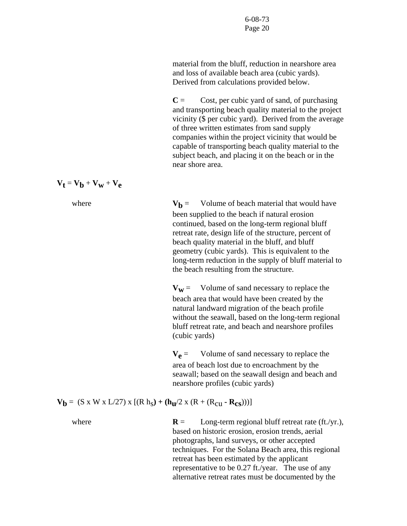material from the bluff, reduction in nearshore area and loss of available beach area (cubic yards). Derived from calculations provided below.

 $C =$  Cost, per cubic yard of sand, of purchasing and transporting beach quality material to the project vicinity (\$ per cubic yard). Derived from the average of three written estimates from sand supply companies within the project vicinity that would be capable of transporting beach quality material to the subject beach, and placing it on the beach or in the near shore area.

$$
\mathbf{V}_t = \mathbf{V}_b + \mathbf{V}_w + \mathbf{V}_e
$$



where  $V_b$  = Volume of beach material that would have been supplied to the beach if natural erosion continued, based on the long-term regional bluff retreat rate, design life of the structure, percent of beach quality material in the bluff, and bluff geometry (cubic yards). This is equivalent to the long-term reduction in the supply of bluff material to the beach resulting from the structure.

> $V_w$  = Volume of sand necessary to replace the beach area that would have been created by the natural landward migration of the beach profile without the seawall, based on the long-term regional bluff retreat rate, and beach and nearshore profiles (cubic yards)

 $V_{\rho}$  = Volume of sand necessary to replace the area of beach lost due to encroachment by the seawall; based on the seawall design and beach and nearshore profiles (cubic yards)

 $V_b = (S \times W \times L/27) \times [(R h_s) + (h_u/2 \times (R + (R_{c11} - R_{cs})))]$ 

where **R** = Long-term regional bluff retreat rate (ft./yr.), based on historic erosion, erosion trends, aerial photographs, land surveys, or other accepted techniques. For the Solana Beach area, this regional retreat has been estimated by the applicant representative to be 0.27 ft./year. The use of any alternative retreat rates must be documented by the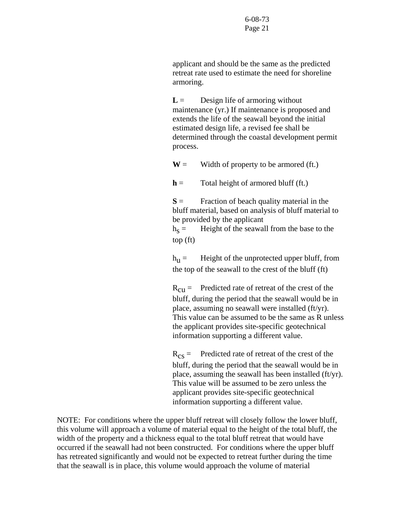applicant and should be the same as the predicted retreat rate used to estimate the need for shoreline armoring.

 $L =$  Design life of armoring without maintenance (yr.) If maintenance is proposed and extends the life of the seawall beyond the initial estimated design life, a revised fee shall be determined through the coastal development permit process.

 $W =$  Width of property to be armored (ft.)

 $h =$  Total height of armored bluff (ft.)

 $S =$  Fraction of beach quality material in the bluff material, based on analysis of bluff material to be provided by the applicant

 $h_s =$  Height of the seawall from the base to the top (ft)

 $h_{\text{H}} =$  Height of the unprotected upper bluff, from the top of the seawall to the crest of the bluff (ft)

 $R_{\text{CII}} =$  Predicted rate of retreat of the crest of the bluff, during the period that the seawall would be in place, assuming no seawall were installed (ft/yr). This value can be assumed to be the same as R unless the applicant provides site-specific geotechnical information supporting a different value.

 $R_{cs}$  = Predicted rate of retreat of the crest of the bluff, during the period that the seawall would be in place, assuming the seawall has been installed (ft/yr). This value will be assumed to be zero unless the applicant provides site-specific geotechnical information supporting a different value.

NOTE: For conditions where the upper bluff retreat will closely follow the lower bluff, this volume will approach a volume of material equal to the height of the total bluff, the width of the property and a thickness equal to the total bluff retreat that would have occurred if the seawall had not been constructed. For conditions where the upper bluff has retreated significantly and would not be expected to retreat further during the time that the seawall is in place, this volume would approach the volume of material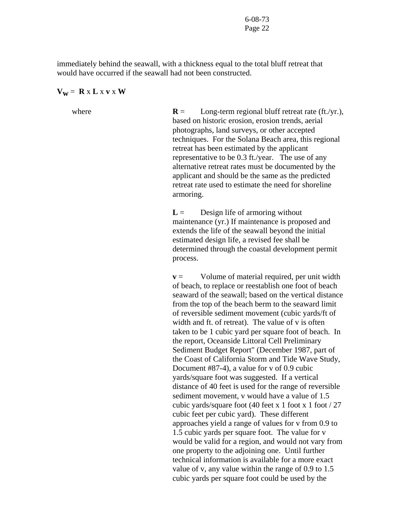immediately behind the seawall, with a thickness equal to the total bluff retreat that would have occurred if the seawall had not been constructed.

#### $V_w = R \times L \times V \times W$

where **R** = Long-term regional bluff retreat rate (ft./yr.), based on historic erosion, erosion trends, aerial photographs, land surveys, or other accepted techniques. For the Solana Beach area, this regional retreat has been estimated by the applicant representative to be 0.3 ft./year. The use of any alternative retreat rates must be documented by the applicant and should be the same as the predicted retreat rate used to estimate the need for shoreline armoring.

> $L =$  Design life of armoring without maintenance (yr.) If maintenance is proposed and extends the life of the seawall beyond the initial estimated design life, a revised fee shall be determined through the coastal development permit process.

**v** = Volume of material required, per unit width of beach, to replace or reestablish one foot of beach seaward of the seawall; based on the vertical distance from the top of the beach berm to the seaward limit of reversible sediment movement (cubic yards/ft of width and ft. of retreat). The value of v is often taken to be 1 cubic yard per square foot of beach. In the report, Oceanside Littoral Cell Preliminary Sediment Budget Report" (December 1987, part of the Coast of California Storm and Tide Wave Study, Document #87-4), a value for v of 0.9 cubic yards/square foot was suggested. If a vertical distance of 40 feet is used for the range of reversible sediment movement, v would have a value of 1.5 cubic yards/square foot (40 feet x 1 foot x 1 foot / 27 cubic feet per cubic yard). These different approaches yield a range of values for v from 0.9 to 1.5 cubic yards per square foot. The value for v would be valid for a region, and would not vary from one property to the adjoining one. Until further technical information is available for a more exact value of v, any value within the range of 0.9 to 1.5 cubic yards per square foot could be used by the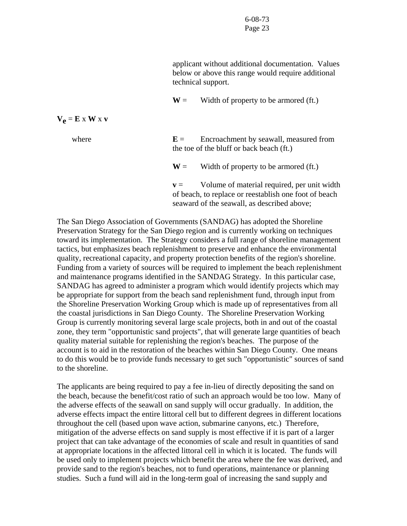applicant without additional documentation. Values below or above this range would require additional technical support.

 $W =$  Width of property to be armored (ft.)

| where | $E =$          | Encroachment by seawall, measured from<br>the toe of the bluff or back beach (ft.)                                                                  |
|-------|----------------|-----------------------------------------------------------------------------------------------------------------------------------------------------|
|       | $W =$          | Width of property to be armored (ft.)                                                                                                               |
|       | $\mathbf{v} =$ | Volume of material required, per unit width<br>of beach, to replace or reestablish one foot of beach<br>seaward of the seawall, as described above; |

The San Diego Association of Governments (SANDAG) has adopted the Shoreline Preservation Strategy for the San Diego region and is currently working on techniques toward its implementation. The Strategy considers a full range of shoreline management tactics, but emphasizes beach replenishment to preserve and enhance the environmental quality, recreational capacity, and property protection benefits of the region's shoreline. Funding from a variety of sources will be required to implement the beach replenishment and maintenance programs identified in the SANDAG Strategy. In this particular case, SANDAG has agreed to administer a program which would identify projects which may be appropriate for support from the beach sand replenishment fund, through input from the Shoreline Preservation Working Group which is made up of representatives from all the coastal jurisdictions in San Diego County. The Shoreline Preservation Working Group is currently monitoring several large scale projects, both in and out of the coastal zone, they term "opportunistic sand projects", that will generate large quantities of beach quality material suitable for replenishing the region's beaches. The purpose of the account is to aid in the restoration of the beaches within San Diego County. One means to do this would be to provide funds necessary to get such "opportunistic" sources of sand to the shoreline.

The applicants are being required to pay a fee in-lieu of directly depositing the sand on the beach, because the benefit/cost ratio of such an approach would be too low. Many of the adverse effects of the seawall on sand supply will occur gradually. In addition, the adverse effects impact the entire littoral cell but to different degrees in different locations throughout the cell (based upon wave action, submarine canyons, etc.) Therefore, mitigation of the adverse effects on sand supply is most effective if it is part of a larger project that can take advantage of the economies of scale and result in quantities of sand at appropriate locations in the affected littoral cell in which it is located. The funds will be used only to implement projects which benefit the area where the fee was derived, and provide sand to the region's beaches, not to fund operations, maintenance or planning studies. Such a fund will aid in the long-term goal of increasing the sand supply and

 $V_e = E \times W \times V$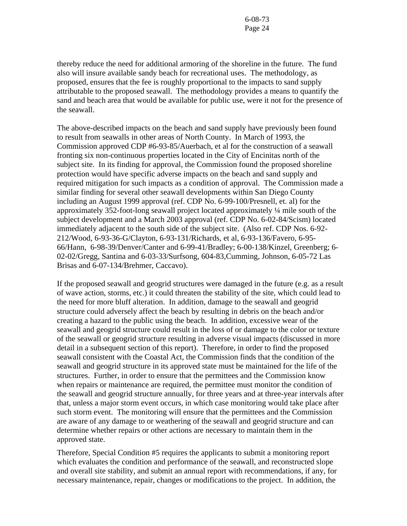thereby reduce the need for additional armoring of the shoreline in the future. The fund also will insure available sandy beach for recreational uses. The methodology, as proposed, ensures that the fee is roughly proportional to the impacts to sand supply attributable to the proposed seawall. The methodology provides a means to quantify the sand and beach area that would be available for public use, were it not for the presence of the seawall.

The above-described impacts on the beach and sand supply have previously been found to result from seawalls in other areas of North County. In March of 1993, the Commission approved CDP #6-93-85/Auerbach, et al for the construction of a seawall fronting six non-continuous properties located in the City of Encinitas north of the subject site. In its finding for approval, the Commission found the proposed shoreline protection would have specific adverse impacts on the beach and sand supply and required mitigation for such impacts as a condition of approval. The Commission made a similar finding for several other seawall developments within San Diego County including an August 1999 approval (ref. CDP No. 6-99-100/Presnell, et. al) for the approximately 352-foot-long seawall project located approximately ¼ mile south of the subject development and a March 2003 approval (ref. CDP No. 6-02-84/Scism) located immediately adjacent to the south side of the subject site. (Also ref. CDP Nos. 6-92- 212/Wood, 6-93-36-G/Clayton, 6-93-131/Richards, et al, 6-93-136/Favero, 6-95- 66/Hann, 6-98-39/Denver/Canter and 6-99-41/Bradley; 6-00-138/Kinzel, Greenberg; 6- 02-02/Gregg, Santina and 6-03-33/Surfsong, 604-83,Cumming, Johnson, 6-05-72 Las Brisas and 6-07-134/Brehmer, Caccavo).

If the proposed seawall and geogrid structures were damaged in the future (e.g. as a result of wave action, storms, etc.) it could threaten the stability of the site, which could lead to the need for more bluff alteration. In addition, damage to the seawall and geogrid structure could adversely affect the beach by resulting in debris on the beach and/or creating a hazard to the public using the beach. In addition, excessive wear of the seawall and geogrid structure could result in the loss of or damage to the color or texture of the seawall or geogrid structure resulting in adverse visual impacts (discussed in more detail in a subsequent section of this report). Therefore, in order to find the proposed seawall consistent with the Coastal Act, the Commission finds that the condition of the seawall and geogrid structure in its approved state must be maintained for the life of the structures. Further, in order to ensure that the permittees and the Commission know when repairs or maintenance are required, the permittee must monitor the condition of the seawall and geogrid structure annually, for three years and at three-year intervals after that, unless a major storm event occurs, in which case monitoring would take place after such storm event. The monitoring will ensure that the permittees and the Commission are aware of any damage to or weathering of the seawall and geogrid structure and can determine whether repairs or other actions are necessary to maintain them in the approved state.

Therefore, Special Condition #5 requires the applicants to submit a monitoring report which evaluates the condition and performance of the seawall, and reconstructed slope and overall site stability, and submit an annual report with recommendations, if any, for necessary maintenance, repair, changes or modifications to the project. In addition, the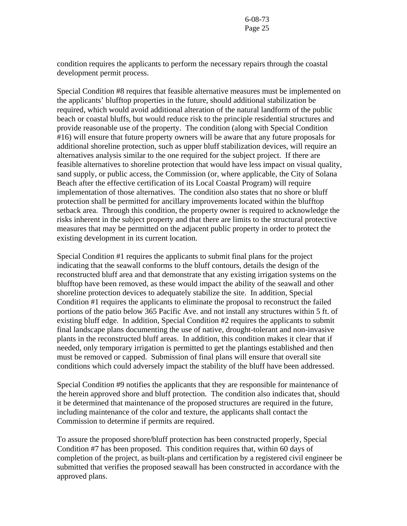condition requires the applicants to perform the necessary repairs through the coastal development permit process.

Special Condition #8 requires that feasible alternative measures must be implemented on the applicants' blufftop properties in the future, should additional stabilization be required, which would avoid additional alteration of the natural landform of the public beach or coastal bluffs, but would reduce risk to the principle residential structures and provide reasonable use of the property. The condition (along with Special Condition #16) will ensure that future property owners will be aware that any future proposals for additional shoreline protection, such as upper bluff stabilization devices, will require an alternatives analysis similar to the one required for the subject project. If there are feasible alternatives to shoreline protection that would have less impact on visual quality, sand supply, or public access, the Commission (or, where applicable, the City of Solana Beach after the effective certification of its Local Coastal Program) will require implementation of those alternatives. The condition also states that no shore or bluff protection shall be permitted for ancillary improvements located within the blufftop setback area. Through this condition, the property owner is required to acknowledge the risks inherent in the subject property and that there are limits to the structural protective measures that may be permitted on the adjacent public property in order to protect the existing development in its current location.

Special Condition #1 requires the applicants to submit final plans for the project indicating that the seawall conforms to the bluff contours, details the design of the reconstructed bluff area and that demonstrate that any existing irrigation systems on the blufftop have been removed, as these would impact the ability of the seawall and other shoreline protection devices to adequately stabilize the site. In addition, Special Condition #1 requires the applicants to eliminate the proposal to reconstruct the failed portions of the patio below 365 Pacific Ave. and not install any structures within 5 ft. of existing bluff edge. In addition, Special Condition #2 requires the applicants to submit final landscape plans documenting the use of native, drought-tolerant and non-invasive plants in the reconstructed bluff areas. In addition, this condition makes it clear that if needed, only temporary irrigation is permitted to get the plantings established and then must be removed or capped. Submission of final plans will ensure that overall site conditions which could adversely impact the stability of the bluff have been addressed.

Special Condition #9 notifies the applicants that they are responsible for maintenance of the herein approved shore and bluff protection. The condition also indicates that, should it be determined that maintenance of the proposed structures are required in the future, including maintenance of the color and texture, the applicants shall contact the Commission to determine if permits are required.

To assure the proposed shore/bluff protection has been constructed properly, Special Condition #7 has been proposed. This condition requires that, within 60 days of completion of the project, as built-plans and certification by a registered civil engineer be submitted that verifies the proposed seawall has been constructed in accordance with the approved plans.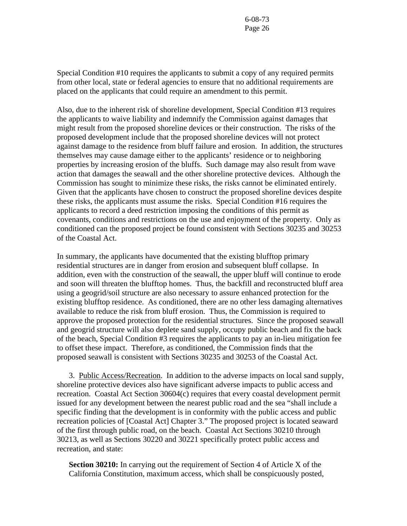Special Condition #10 requires the applicants to submit a copy of any required permits from other local, state or federal agencies to ensure that no additional requirements are placed on the applicants that could require an amendment to this permit.

Also, due to the inherent risk of shoreline development, Special Condition #13 requires the applicants to waive liability and indemnify the Commission against damages that might result from the proposed shoreline devices or their construction. The risks of the proposed development include that the proposed shoreline devices will not protect against damage to the residence from bluff failure and erosion. In addition, the structures themselves may cause damage either to the applicants' residence or to neighboring properties by increasing erosion of the bluffs. Such damage may also result from wave action that damages the seawall and the other shoreline protective devices. Although the Commission has sought to minimize these risks, the risks cannot be eliminated entirely. Given that the applicants have chosen to construct the proposed shoreline devices despite these risks, the applicants must assume the risks. Special Condition #16 requires the applicants to record a deed restriction imposing the conditions of this permit as covenants, conditions and restrictions on the use and enjoyment of the property. Only as conditioned can the proposed project be found consistent with Sections 30235 and 30253 of the Coastal Act.

In summary, the applicants have documented that the existing blufftop primary residential structures are in danger from erosion and subsequent bluff collapse. In addition, even with the construction of the seawall, the upper bluff will continue to erode and soon will threaten the blufftop homes. Thus, the backfill and reconstructed bluff area using a geogrid/soil structure are also necessary to assure enhanced protection for the existing blufftop residence. As conditioned, there are no other less damaging alternatives available to reduce the risk from bluff erosion. Thus, the Commission is required to approve the proposed protection for the residential structures. Since the proposed seawall and geogrid structure will also deplete sand supply, occupy public beach and fix the back of the beach, Special Condition #3 requires the applicants to pay an in-lieu mitigation fee to offset these impact. Therefore, as conditioned, the Commission finds that the proposed seawall is consistent with Sections 30235 and 30253 of the Coastal Act.

3. Public Access/Recreation. In addition to the adverse impacts on local sand supply, shoreline protective devices also have significant adverse impacts to public access and recreation. Coastal Act Section 30604(c) requires that every coastal development permit issued for any development between the nearest public road and the sea "shall include a specific finding that the development is in conformity with the public access and public recreation policies of [Coastal Act] Chapter 3." The proposed project is located seaward of the first through public road, on the beach. Coastal Act Sections 30210 through 30213, as well as Sections 30220 and 30221 specifically protect public access and recreation, and state:

**Section 30210:** In carrying out the requirement of Section 4 of Article X of the California Constitution, maximum access, which shall be conspicuously posted,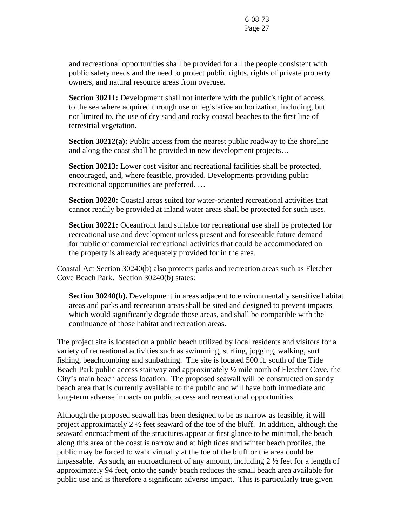and recreational opportunities shall be provided for all the people consistent with public safety needs and the need to protect public rights, rights of private property owners, and natural resource areas from overuse.

**Section 30211:** Development shall not interfere with the public's right of access to the sea where acquired through use or legislative authorization, including, but not limited to, the use of dry sand and rocky coastal beaches to the first line of terrestrial vegetation.

**Section 30212(a):** Public access from the nearest public roadway to the shoreline and along the coast shall be provided in new development projects…

**Section 30213:** Lower cost visitor and recreational facilities shall be protected, encouraged, and, where feasible, provided. Developments providing public recreational opportunities are preferred. …

**Section 30220:** Coastal areas suited for water-oriented recreational activities that cannot readily be provided at inland water areas shall be protected for such uses.

**Section 30221:** Oceanfront land suitable for recreational use shall be protected for recreational use and development unless present and foreseeable future demand for public or commercial recreational activities that could be accommodated on the property is already adequately provided for in the area.

Coastal Act Section 30240(b) also protects parks and recreation areas such as Fletcher Cove Beach Park. Section 30240(b) states:

**Section 30240(b).** Development in areas adjacent to environmentally sensitive habitat areas and parks and recreation areas shall be sited and designed to prevent impacts which would significantly degrade those areas, and shall be compatible with the continuance of those habitat and recreation areas.

The project site is located on a public beach utilized by local residents and visitors for a variety of recreational activities such as swimming, surfing, jogging, walking, surf fishing, beachcombing and sunbathing. The site is located 500 ft. south of the Tide Beach Park public access stairway and approximately  $\frac{1}{2}$  mile north of Fletcher Cove, the City's main beach access location. The proposed seawall will be constructed on sandy beach area that is currently available to the public and will have both immediate and long-term adverse impacts on public access and recreational opportunities.

Although the proposed seawall has been designed to be as narrow as feasible, it will project approximately 2 ½ feet seaward of the toe of the bluff. In addition, although the seaward encroachment of the structures appear at first glance to be minimal, the beach along this area of the coast is narrow and at high tides and winter beach profiles, the public may be forced to walk virtually at the toe of the bluff or the area could be impassable. As such, an encroachment of any amount, including 2 ½ feet for a length of approximately 94 feet, onto the sandy beach reduces the small beach area available for public use and is therefore a significant adverse impact. This is particularly true given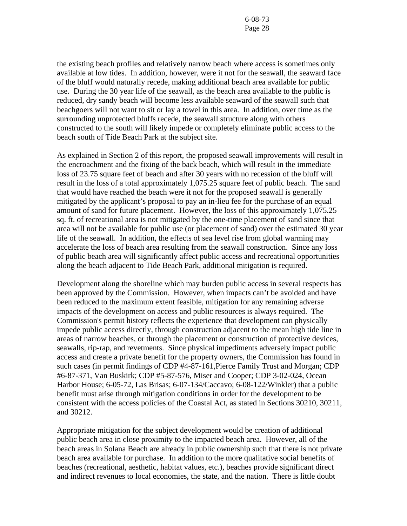the existing beach profiles and relatively narrow beach where access is sometimes only available at low tides. In addition, however, were it not for the seawall, the seaward face of the bluff would naturally recede, making additional beach area available for public use. During the 30 year life of the seawall, as the beach area available to the public is reduced, dry sandy beach will become less available seaward of the seawall such that beachgoers will not want to sit or lay a towel in this area. In addition, over time as the surrounding unprotected bluffs recede, the seawall structure along with others constructed to the south will likely impede or completely eliminate public access to the beach south of Tide Beach Park at the subject site.

As explained in Section 2 of this report, the proposed seawall improvements will result in the encroachment and the fixing of the back beach, which will result in the immediate loss of 23.75 square feet of beach and after 30 years with no recession of the bluff will result in the loss of a total approximately 1,075.25 square feet of public beach. The sand that would have reached the beach were it not for the proposed seawall is generally mitigated by the applicant's proposal to pay an in-lieu fee for the purchase of an equal amount of sand for future placement. However, the loss of this approximately 1,075.25 sq. ft. of recreational area is not mitigated by the one-time placement of sand since that area will not be available for public use (or placement of sand) over the estimated 30 year life of the seawall. In addition, the effects of sea level rise from global warming may accelerate the loss of beach area resulting from the seawall construction. Since any loss of public beach area will significantly affect public access and recreational opportunities along the beach adjacent to Tide Beach Park, additional mitigation is required.

Development along the shoreline which may burden public access in several respects has been approved by the Commission. However, when impacts can't be avoided and have been reduced to the maximum extent feasible, mitigation for any remaining adverse impacts of the development on access and public resources is always required. The Commission's permit history reflects the experience that development can physically impede public access directly, through construction adjacent to the mean high tide line in areas of narrow beaches, or through the placement or construction of protective devices, seawalls, rip-rap, and revetments. Since physical impediments adversely impact public access and create a private benefit for the property owners, the Commission has found in such cases (in permit findings of CDP #4-87-161,Pierce Family Trust and Morgan; CDP #6-87-371, Van Buskirk; CDP #5-87-576, Miser and Cooper; CDP 3-02-024, Ocean Harbor House; 6-05-72, Las Brisas; 6-07-134/Caccavo; 6-08-122/Winkler) that a public benefit must arise through mitigation conditions in order for the development to be consistent with the access policies of the Coastal Act, as stated in Sections 30210, 30211, and 30212.

Appropriate mitigation for the subject development would be creation of additional public beach area in close proximity to the impacted beach area. However, all of the beach areas in Solana Beach are already in public ownership such that there is not private beach area available for purchase. In addition to the more qualitative social benefits of beaches (recreational, aesthetic, habitat values, etc.), beaches provide significant direct and indirect revenues to local economies, the state, and the nation. There is little doubt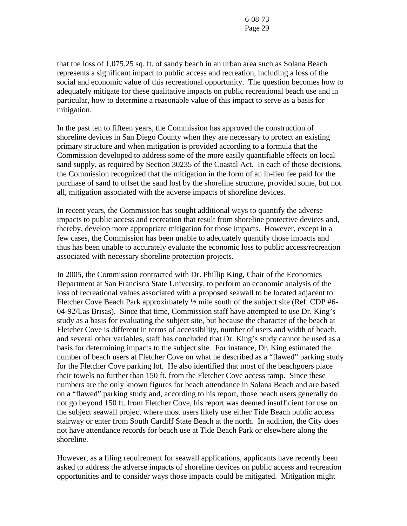that the loss of 1,075.25 sq. ft. of sandy beach in an urban area such as Solana Beach represents a significant impact to public access and recreation, including a loss of the social and economic value of this recreational opportunity. The question becomes how to adequately mitigate for these qualitative impacts on public recreational beach use and in particular, how to determine a reasonable value of this impact to serve as a basis for mitigation.

In the past ten to fifteen years, the Commission has approved the construction of shoreline devices in San Diego County when they are necessary to protect an existing primary structure and when mitigation is provided according to a formula that the Commission developed to address some of the more easily quantifiable effects on local sand supply, as required by Section 30235 of the Coastal Act. In each of those decisions, the Commission recognized that the mitigation in the form of an in-lieu fee paid for the purchase of sand to offset the sand lost by the shoreline structure, provided some, but not all, mitigation associated with the adverse impacts of shoreline devices.

In recent years, the Commission has sought additional ways to quantify the adverse impacts to public access and recreation that result from shoreline protective devices and, thereby, develop more appropriate mitigation for those impacts. However, except in a few cases, the Commission has been unable to adequately quantify those impacts and thus has been unable to accurately evaluate the economic loss to public access/recreation associated with necessary shoreline protection projects.

In 2005, the Commission contracted with Dr. Phillip King, Chair of the Economics Department at San Francisco State University, to perform an economic analysis of the loss of recreational values associated with a proposed seawall to be located adjacent to Fletcher Cove Beach Park approximately  $\frac{1}{2}$  mile south of the subject site (Ref. CDP #6-04-92/Las Brisas). Since that time, Commission staff have attempted to use Dr. King's study as a basis for evaluating the subject site, but because the character of the beach at Fletcher Cove is different in terms of accessibility, number of users and width of beach, and several other variables, staff has concluded that Dr. King's study cannot be used as a basis for determining impacts to the subject site. For instance, Dr. King estimated the number of beach users at Fletcher Cove on what he described as a "flawed" parking study for the Fletcher Cove parking lot. He also identified that most of the beachgoers place their towels no further than 150 ft. from the Fletcher Cove access ramp. Since these numbers are the only known figures for beach attendance in Solana Beach and are based on a "flawed" parking study and, according to his report, those beach users generally do not go beyond 150 ft. from Fletcher Cove, his report was deemed insufficient for use on the subject seawall project where most users likely use either Tide Beach public access stairway or enter from South Cardiff State Beach at the north. In addition, the City does not have attendance records for beach use at Tide Beach Park or elsewhere along the shoreline.

However, as a filing requirement for seawall applications, applicants have recently been asked to address the adverse impacts of shoreline devices on public access and recreation opportunities and to consider ways those impacts could be mitigated. Mitigation might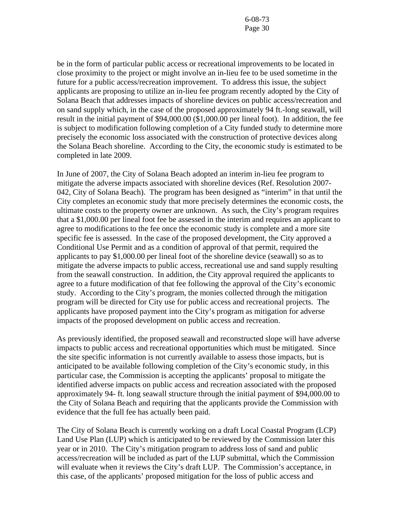be in the form of particular public access or recreational improvements to be located in close proximity to the project or might involve an in-lieu fee to be used sometime in the future for a public access/recreation improvement. To address this issue, the subject applicants are proposing to utilize an in-lieu fee program recently adopted by the City of Solana Beach that addresses impacts of shoreline devices on public access/recreation and on sand supply which, in the case of the proposed approximately 94 ft.-long seawall, will result in the initial payment of \$94,000.00 (\$1,000.00 per lineal foot). In addition, the fee is subject to modification following completion of a City funded study to determine more precisely the economic loss associated with the construction of protective devices along the Solana Beach shoreline. According to the City, the economic study is estimated to be completed in late 2009.

In June of 2007, the City of Solana Beach adopted an interim in-lieu fee program to mitigate the adverse impacts associated with shoreline devices (Ref. Resolution 2007- 042, City of Solana Beach). The program has been designed as "interim" in that until the City completes an economic study that more precisely determines the economic costs, the ultimate costs to the property owner are unknown. As such, the City's program requires that a \$1,000.00 per lineal foot fee be assessed in the interim and requires an applicant to agree to modifications to the fee once the economic study is complete and a more site specific fee is assessed. In the case of the proposed development, the City approved a Conditional Use Permit and as a condition of approval of that permit, required the applicants to pay \$1,000.00 per lineal foot of the shoreline device (seawall) so as to mitigate the adverse impacts to public access, recreational use and sand supply resulting from the seawall construction. In addition, the City approval required the applicants to agree to a future modification of that fee following the approval of the City's economic study. According to the City's program, the monies collected through the mitigation program will be directed for City use for public access and recreational projects. The applicants have proposed payment into the City's program as mitigation for adverse impacts of the proposed development on public access and recreation.

As previously identified, the proposed seawall and reconstructed slope will have adverse impacts to public access and recreational opportunities which must be mitigated. Since the site specific information is not currently available to assess those impacts, but is anticipated to be available following completion of the City's economic study, in this particular case, the Commission is accepting the applicants' proposal to mitigate the identified adverse impacts on public access and recreation associated with the proposed approximately 94- ft. long seawall structure through the initial payment of \$94,000.00 to the City of Solana Beach and requiring that the applicants provide the Commission with evidence that the full fee has actually been paid.

The City of Solana Beach is currently working on a draft Local Coastal Program (LCP) Land Use Plan (LUP) which is anticipated to be reviewed by the Commission later this year or in 2010. The City's mitigation program to address loss of sand and public access/recreation will be included as part of the LUP submittal, which the Commission will evaluate when it reviews the City's draft LUP. The Commission's acceptance, in this case, of the applicants' proposed mitigation for the loss of public access and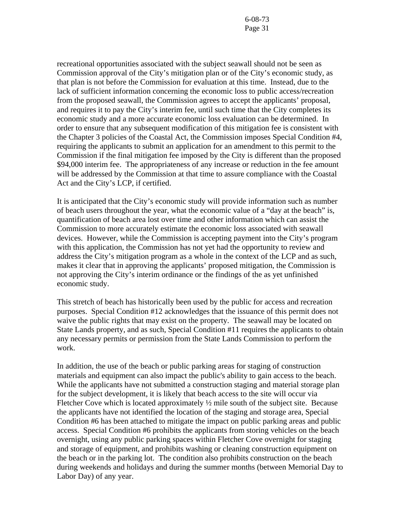recreational opportunities associated with the subject seawall should not be seen as Commission approval of the City's mitigation plan or of the City's economic study, as that plan is not before the Commission for evaluation at this time. Instead, due to the lack of sufficient information concerning the economic loss to public access/recreation from the proposed seawall, the Commission agrees to accept the applicants' proposal, and requires it to pay the City's interim fee, until such time that the City completes its economic study and a more accurate economic loss evaluation can be determined. In order to ensure that any subsequent modification of this mitigation fee is consistent with the Chapter 3 policies of the Coastal Act, the Commission imposes Special Condition #4, requiring the applicants to submit an application for an amendment to this permit to the Commission if the final mitigation fee imposed by the City is different than the proposed \$94,000 interim fee. The appropriateness of any increase or reduction in the fee amount will be addressed by the Commission at that time to assure compliance with the Coastal Act and the City's LCP, if certified.

It is anticipated that the City's economic study will provide information such as number of beach users throughout the year, what the economic value of a "day at the beach" is, quantification of beach area lost over time and other information which can assist the Commission to more accurately estimate the economic loss associated with seawall devices. However, while the Commission is accepting payment into the City's program with this application, the Commission has not yet had the opportunity to review and address the City's mitigation program as a whole in the context of the LCP and as such, makes it clear that in approving the applicants' proposed mitigation, the Commission is not approving the City's interim ordinance or the findings of the as yet unfinished economic study.

This stretch of beach has historically been used by the public for access and recreation purposes. Special Condition #12 acknowledges that the issuance of this permit does not waive the public rights that may exist on the property. The seawall may be located on State Lands property, and as such, Special Condition #11 requires the applicants to obtain any necessary permits or permission from the State Lands Commission to perform the work.

In addition, the use of the beach or public parking areas for staging of construction materials and equipment can also impact the public's ability to gain access to the beach. While the applicants have not submitted a construction staging and material storage plan for the subject development, it is likely that beach access to the site will occur via Fletcher Cove which is located approximately  $\frac{1}{2}$  mile south of the subject site. Because the applicants have not identified the location of the staging and storage area, Special Condition #6 has been attached to mitigate the impact on public parking areas and public access. Special Condition #6 prohibits the applicants from storing vehicles on the beach overnight, using any public parking spaces within Fletcher Cove overnight for staging and storage of equipment, and prohibits washing or cleaning construction equipment on the beach or in the parking lot. The condition also prohibits construction on the beach during weekends and holidays and during the summer months (between Memorial Day to Labor Day) of any year.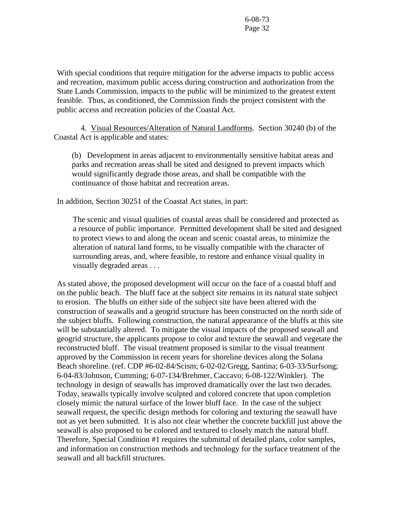With special conditions that require mitigation for the adverse impacts to public access and recreation, maximum public access during construction and authorization from the State Lands Commission, impacts to the public will be minimized to the greatest extent feasible. Thus, as conditioned, the Commission finds the project consistent with the public access and recreation policies of the Coastal Act.

 4. Visual Resources/Alteration of Natural Landforms. Section 30240 (b) of the Coastal Act is applicable and states:

(b) Development in areas adjacent to environmentally sensitive habitat areas and parks and recreation areas shall be sited and designed to prevent impacts which would significantly degrade those areas, and shall be compatible with the continuance of those habitat and recreation areas.

In addition, Section 30251 of the Coastal Act states, in part:

 The scenic and visual qualities of coastal areas shall be considered and protected as a resource of public importance. Permitted development shall be sited and designed to protect views to and along the ocean and scenic coastal areas, to minimize the alteration of natural land forms, to be visually compatible with the character of surrounding areas, and, where feasible, to restore and enhance visual quality in visually degraded areas . . .

As stated above, the proposed development will occur on the face of a coastal bluff and on the public beach. The bluff face at the subject site remains in its natural state subject to erosion. The bluffs on either side of the subject site have been altered with the construction of seawalls and a geogrid structure has been constructed on the north side of the subject bluffs. Following construction, the natural appearance of the bluffs at this site will be substantially altered. To mitigate the visual impacts of the proposed seawall and geogrid structure, the applicants propose to color and texture the seawall and vegetate the reconstructed bluff. The visual treatment proposed is similar to the visual treatment approved by the Commission in recent years for shoreline devices along the Solana Beach shoreline. (ref. CDP #6-02-84/Scism; 6-02-02/Gregg, Santina; 6-03-33/Surfsong; 6-04-83/Johnson, Cumming; 6-07-134/Brehmer, Caccavo; 6-08-122/Winkler). The technology in design of seawalls has improved dramatically over the last two decades. Today, seawalls typically involve sculpted and colored concrete that upon completion closely mimic the natural surface of the lower bluff face. In the case of the subject seawall request, the specific design methods for coloring and texturing the seawall have not as yet been submitted. It is also not clear whether the concrete backfill just above the seawall is also proposed to be colored and textured to closely match the natural bluff. Therefore, Special Condition #1 requires the submittal of detailed plans, color samples, and information on construction methods and technology for the surface treatment of the seawall and all backfill structures.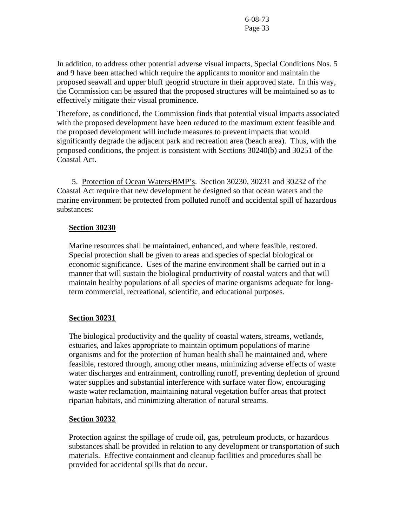In addition, to address other potential adverse visual impacts, Special Conditions Nos. 5 and 9 have been attached which require the applicants to monitor and maintain the proposed seawall and upper bluff geogrid structure in their approved state. In this way, the Commission can be assured that the proposed structures will be maintained so as to effectively mitigate their visual prominence.

Therefore, as conditioned, the Commission finds that potential visual impacts associated with the proposed development have been reduced to the maximum extent feasible and the proposed development will include measures to prevent impacts that would significantly degrade the adjacent park and recreation area (beach area). Thus, with the proposed conditions, the project is consistent with Sections 30240(b) and 30251 of the Coastal Act.

5. Protection of Ocean Waters/BMP's. Section 30230, 30231 and 30232 of the Coastal Act require that new development be designed so that ocean waters and the marine environment be protected from polluted runoff and accidental spill of hazardous substances:

#### **Section 30230**

Marine resources shall be maintained, enhanced, and where feasible, restored. Special protection shall be given to areas and species of special biological or economic significance. Uses of the marine environment shall be carried out in a manner that will sustain the biological productivity of coastal waters and that will maintain healthy populations of all species of marine organisms adequate for longterm commercial, recreational, scientific, and educational purposes.

#### **Section 30231**

The biological productivity and the quality of coastal waters, streams, wetlands, estuaries, and lakes appropriate to maintain optimum populations of marine organisms and for the protection of human health shall be maintained and, where feasible, restored through, among other means, minimizing adverse effects of waste water discharges and entrainment, controlling runoff, preventing depletion of ground water supplies and substantial interference with surface water flow, encouraging waste water reclamation, maintaining natural vegetation buffer areas that protect riparian habitats, and minimizing alteration of natural streams.

#### **Section 30232**

Protection against the spillage of crude oil, gas, petroleum products, or hazardous substances shall be provided in relation to any development or transportation of such materials. Effective containment and cleanup facilities and procedures shall be provided for accidental spills that do occur.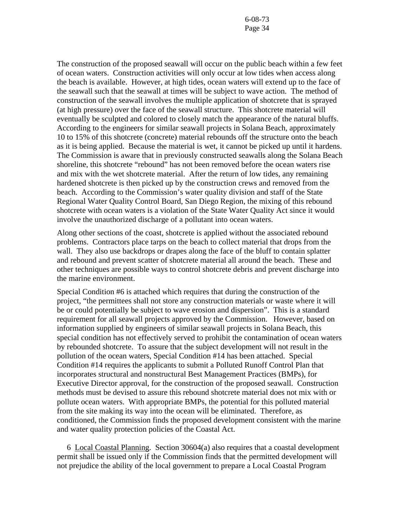The construction of the proposed seawall will occur on the public beach within a few feet of ocean waters. Construction activities will only occur at low tides when access along the beach is available. However, at high tides, ocean waters will extend up to the face of the seawall such that the seawall at times will be subject to wave action. The method of construction of the seawall involves the multiple application of shotcrete that is sprayed (at high pressure) over the face of the seawall structure. This shotcrete material will eventually be sculpted and colored to closely match the appearance of the natural bluffs. According to the engineers for similar seawall projects in Solana Beach, approximately 10 to 15% of this shotcrete (concrete) material rebounds off the structure onto the beach as it is being applied. Because the material is wet, it cannot be picked up until it hardens. The Commission is aware that in previously constructed seawalls along the Solana Beach shoreline, this shotcrete "rebound" has not been removed before the ocean waters rise and mix with the wet shotcrete material. After the return of low tides, any remaining hardened shotcrete is then picked up by the construction crews and removed from the beach. According to the Commission's water quality division and staff of the State Regional Water Quality Control Board, San Diego Region, the mixing of this rebound shotcrete with ocean waters is a violation of the State Water Quality Act since it would involve the unauthorized discharge of a pollutant into ocean waters.

Along other sections of the coast, shotcrete is applied without the associated rebound problems. Contractors place tarps on the beach to collect material that drops from the wall. They also use backdrops or drapes along the face of the bluff to contain splatter and rebound and prevent scatter of shotcrete material all around the beach. These and other techniques are possible ways to control shotcrete debris and prevent discharge into the marine environment.

Special Condition #6 is attached which requires that during the construction of the project, "the permittees shall not store any construction materials or waste where it will be or could potentially be subject to wave erosion and dispersion". This is a standard requirement for all seawall projects approved by the Commission. However, based on information supplied by engineers of similar seawall projects in Solana Beach, this special condition has not effectively served to prohibit the contamination of ocean waters by rebounded shotcrete. To assure that the subject development will not result in the pollution of the ocean waters, Special Condition #14 has been attached. Special Condition #14 requires the applicants to submit a Polluted Runoff Control Plan that incorporates structural and nonstructural Best Management Practices (BMPs), for Executive Director approval, for the construction of the proposed seawall. Construction methods must be devised to assure this rebound shotcrete material does not mix with or pollute ocean waters. With appropriate BMPs, the potential for this polluted material from the site making its way into the ocean will be eliminated. Therefore, as conditioned, the Commission finds the proposed development consistent with the marine and water quality protection policies of the Coastal Act.

 6 Local Coastal Planning. Section 30604(a) also requires that a coastal development permit shall be issued only if the Commission finds that the permitted development will not prejudice the ability of the local government to prepare a Local Coastal Program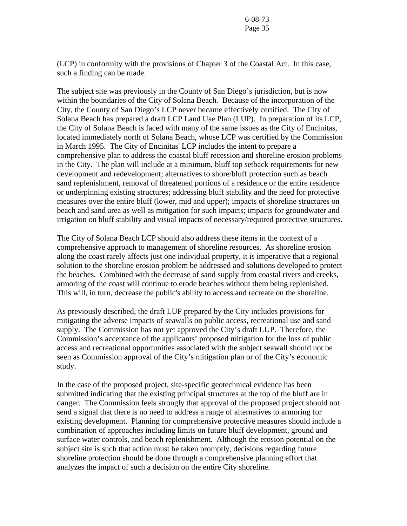(LCP) in conformity with the provisions of Chapter 3 of the Coastal Act. In this case, such a finding can be made.

The subject site was previously in the County of San Diego's jurisdiction, but is now within the boundaries of the City of Solana Beach. Because of the incorporation of the City, the County of San Diego's LCP never became effectively certified. The City of Solana Beach has prepared a draft LCP Land Use Plan (LUP). In preparation of its LCP, the City of Solana Beach is faced with many of the same issues as the City of Encinitas, located immediately north of Solana Beach, whose LCP was certified by the Commission in March 1995. The City of Encinitas' LCP includes the intent to prepare a comprehensive plan to address the coastal bluff recession and shoreline erosion problems in the City. The plan will include at a minimum, bluff top setback requirements for new development and redevelopment; alternatives to shore/bluff protection such as beach sand replenishment, removal of threatened portions of a residence or the entire residence or underpinning existing structures; addressing bluff stability and the need for protective measures over the entire bluff (lower, mid and upper); impacts of shoreline structures on beach and sand area as well as mitigation for such impacts; impacts for groundwater and irrigation on bluff stability and visual impacts of necessary/required protective structures.

The City of Solana Beach LCP should also address these items in the context of a comprehensive approach to management of shoreline resources. As shoreline erosion along the coast rarely affects just one individual property, it is imperative that a regional solution to the shoreline erosion problem be addressed and solutions developed to protect the beaches. Combined with the decrease of sand supply from coastal rivers and creeks, armoring of the coast will continue to erode beaches without them being replenished. This will, in turn, decrease the public's ability to access and recreate on the shoreline.

As previously described, the draft LUP prepared by the City includes provisions for mitigating the adverse impacts of seawalls on public access, recreational use and sand supply. The Commission has not yet approved the City's draft LUP. Therefore, the Commission's acceptance of the applicants' proposed mitigation for the loss of public access and recreational opportunities associated with the subject seawall should not be seen as Commission approval of the City's mitigation plan or of the City's economic study.

In the case of the proposed project, site-specific geotechnical evidence has been submitted indicating that the existing principal structures at the top of the bluff are in danger. The Commission feels strongly that approval of the proposed project should not send a signal that there is no need to address a range of alternatives to armoring for existing development. Planning for comprehensive protective measures should include a combination of approaches including limits on future bluff development, ground and surface water controls, and beach replenishment. Although the erosion potential on the subject site is such that action must be taken promptly, decisions regarding future shoreline protection should be done through a comprehensive planning effort that analyzes the impact of such a decision on the entire City shoreline.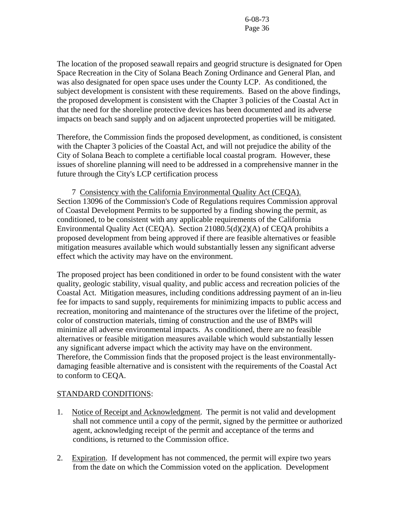The location of the proposed seawall repairs and geogrid structure is designated for Open Space Recreation in the City of Solana Beach Zoning Ordinance and General Plan, and was also designated for open space uses under the County LCP. As conditioned, the subject development is consistent with these requirements. Based on the above findings, the proposed development is consistent with the Chapter 3 policies of the Coastal Act in that the need for the shoreline protective devices has been documented and its adverse impacts on beach sand supply and on adjacent unprotected properties will be mitigated.

Therefore, the Commission finds the proposed development, as conditioned, is consistent with the Chapter 3 policies of the Coastal Act, and will not prejudice the ability of the City of Solana Beach to complete a certifiable local coastal program. However, these issues of shoreline planning will need to be addressed in a comprehensive manner in the future through the City's LCP certification process

 7 Consistency with the California Environmental Quality Act (CEQA). Section 13096 of the Commission's Code of Regulations requires Commission approval of Coastal Development Permits to be supported by a finding showing the permit, as conditioned, to be consistent with any applicable requirements of the California Environmental Quality Act (CEQA). Section 21080.5(d)(2)(A) of CEQA prohibits a proposed development from being approved if there are feasible alternatives or feasible mitigation measures available which would substantially lessen any significant adverse effect which the activity may have on the environment.

The proposed project has been conditioned in order to be found consistent with the water quality, geologic stability, visual quality, and public access and recreation policies of the Coastal Act. Mitigation measures, including conditions addressing payment of an in-lieu fee for impacts to sand supply, requirements for minimizing impacts to public access and recreation, monitoring and maintenance of the structures over the lifetime of the project, color of construction materials, timing of construction and the use of BMPs will minimize all adverse environmental impacts. As conditioned, there are no feasible alternatives or feasible mitigation measures available which would substantially lessen any significant adverse impact which the activity may have on the environment. Therefore, the Commission finds that the proposed project is the least environmentallydamaging feasible alternative and is consistent with the requirements of the Coastal Act to conform to CEQA.

#### STANDARD CONDITIONS:

- 1. Notice of Receipt and Acknowledgment. The permit is not valid and development shall not commence until a copy of the permit, signed by the permittee or authorized agent, acknowledging receipt of the permit and acceptance of the terms and conditions, is returned to the Commission office.
- 2. Expiration. If development has not commenced, the permit will expire two years from the date on which the Commission voted on the application. Development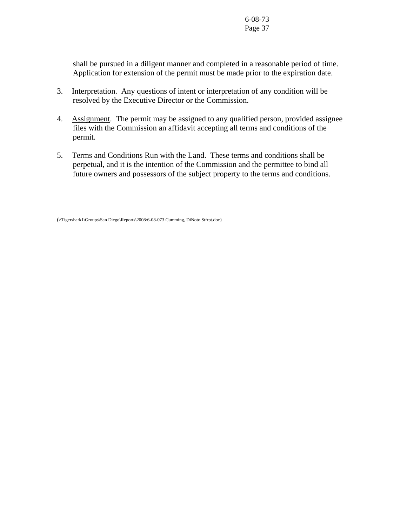shall be pursued in a diligent manner and completed in a reasonable period of time. Application for extension of the permit must be made prior to the expiration date.

- 3. Interpretation. Any questions of intent or interpretation of any condition will be resolved by the Executive Director or the Commission.
- 4. Assignment. The permit may be assigned to any qualified person, provided assignee files with the Commission an affidavit accepting all terms and conditions of the permit.
- 5. Terms and Conditions Run with the Land. These terms and conditions shall be perpetual, and it is the intention of the Commission and the permittee to bind all future owners and possessors of the subject property to the terms and conditions.

(\\Tigershark1\Groups\San Diego\Reports\2008\6-08-073 Cumming, DiNoto Stfrpt.doc)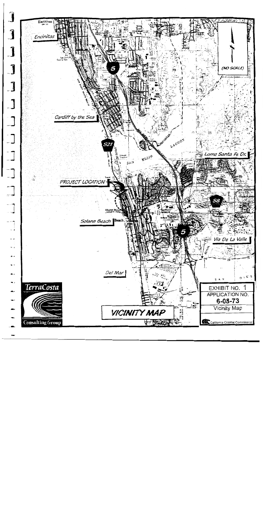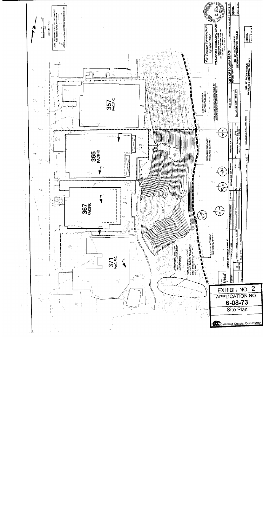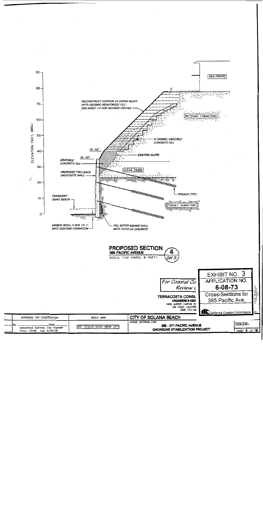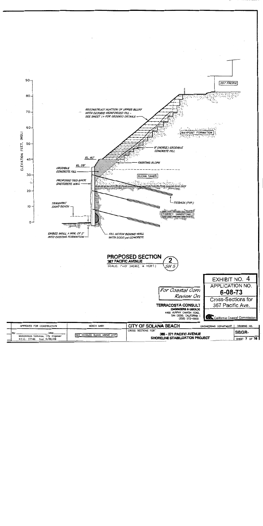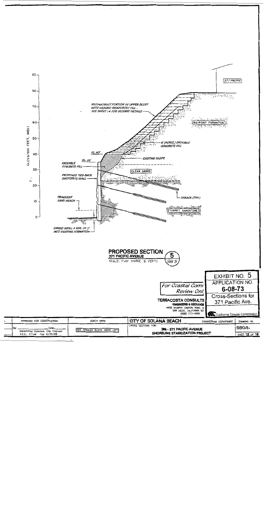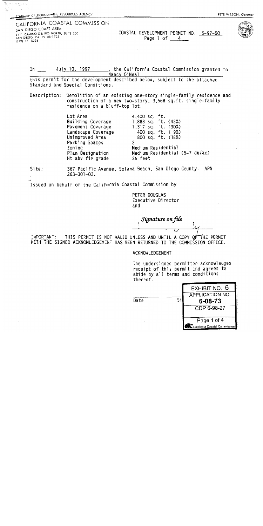# CALIFORNIA COASTAL COMMISSION

SAN DIEGO COAST AREA 3111 CAMINO DEL RIO NORTH, SUITE 200 SAN DIEGO, CA 92108-1725  $(619) 521 - 8036$ 

ΨŞ

COASTAL DEVELOPMENT PERMIT NO. 6-97-50 Page 1 of 4



July 10, 1997  $On$ \_, the California Coastal Commission granted to Nancy O'Neal

this permit for the development described below, subject to the attached Standard and Special Conditions.

Description: Demolition of an existing one-story single-family residence and construction of a new two-story, 3,568 sq.ft. single-family residence on a bluff-top lot.

4,400 sq. ft.

Lot Area Building Coverage Pavement Coverage Landscape Coverage Unimproved Area Parking Spaces Zoning Plan Designation Ht abv fin grade

 $1,883$  sq. ft.  $(43\%)$ 1,317 sq. ft. (30%) 400 sq. ft. ( 9%) 800 sq. ft. (18%)  $\overline{2}$ Medium Residential Medium Residential (5-7 du/ac) 25 feet

Site:

367 Pacific Avenue, Solana Beach, San Diego County. APN  $263 - 301 - 03$ .

Issued on behalf of the California Coastal Commission by

PETER DOUGLAS Executive Director and

Signature on file

IMPORTANT: THIS PERMIT IS NOT VALID UNLESS AND UNTIL A COPY OF THE PERMIT WITH THE SIGNED ACKNOWLEDGEMENT HAS BEEN RETURNED TO THE COMMISSION OFFICE.

ACKNOWLEDGEMENT

The undersigned permittee acknowledges receipt of this permit and agrees to abide by all terms and conditions thereof.

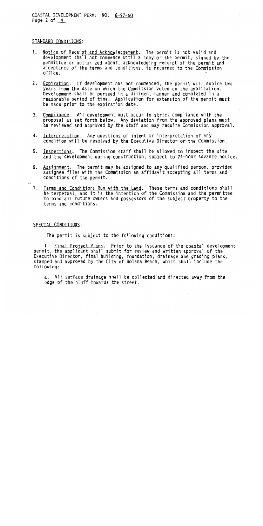COASTAL DEVELOPMENT PERMIT NO. 6-97-50 Page 2 of  $4$ 

#### STANDARD CONDITIONS:

- 1. Notice of Receipt and Acknowledgement. The permit is not valid and development shall not commence until a copy of the permit, signed by the permittee or authorized agent, acknowledging receipt of the permit and acceptance of the terms and conditions, is returned to the Commission office.
- 2. Expiration. If development has not commenced, the permit will expire two vears from the date on which the Commission voted on the application. Development shall be pursued in a diligent manner and completed in a reasonable period of time. Application for extension of the permit must be made prior to the expiration date.
- 3. Compliance. All development must occur in strict compliance with the proposal as set forth below. Any deviation from the approved plans must be reviewed and approved by the staff and may require Commission approval.
- 4. Interpretation. Any questions of intent or interpretation of any condition will be resolved by the Executive Director or the Commission.
- 5. Inspections. The Commission staff shall be allowed to inspect the site and the development during construction, subject to 24-hour advance notice.
- 6. Assignment. The permit may be assigned to any qualified person, provided assignee files with the Commission an affidavit accepting all terms and conditions of the permit.
- 7. <u>Terms and Conditions Run with the Land</u>. These terms and conditions shall<br>be perpetual, and it is the intention of the Commission and the permittee to bind all future owners and possessors of the subject property to the terms and conditions.

#### SPECIAL CONDITIONS:

The permit is subject to the following conditions:

1. Final Project Plans. Prior to the issuance of the coastal development permit, the applicant shall submit for review and written approval of the Executive Director, final building, foundation, drainage and grading plans, stamped and approved by the City of Solana Beach, which shall include the following:

a. All surface drainage shall be collected and directed away from the edge of the bluff towards the street.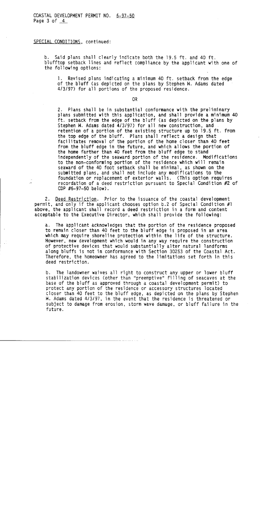SPECIAL CONDITIONS, continued:

b. Said plans shall clearly indicate both the 19.5 ft. and 40 ft. blufftop setback lines and reflect compliance by the applicant with one of the following options:

Revised plans indicating a minimum 40 ft. setback from the edge  $1.$ of the bluff (as depicted on the plans by Stephen W. Adams dated 4/3/97) for all portions of the proposed residence.

OR.

 $2.$ Plans shall be in substantial conformance with the preliminary plans submitted with this application, and shall provide a minimum 40 ft. setback from the edge of the bluff (as depicted on the plans by Stephen W. Adams dated 4/3/97) for all new construction, and retention of a portion of the existing structure up to 19.5 ft. from the top edge of the bluff. Plans shall reflect a design that facilitates removal of the portion of the home closer than 40 feet from the bluff edge in the future, and which allows the portion of the home farther than 40 feet from the bluff edge to stand independently of the seaward portion of the residence. Modifications to the non-conforming portion of the residence which will remain seaward of the 40 foot setback shall be minimal, as shown on the submitted plans, and shall not include any modifications to the foundation or replacement of exterior walls. (This option requires recordation of a deed restriction pursuant to Special Condition #2 of CDP  $#6-97-50$  below).

2. Deed Restriction. Prior to the issuance of the coastal development permit, and only if the applicant chooses option b.2 of Special Condition #1 above, the applicant shall record a deed restriction in a form and content acceptable to the Executive Director, which shall provide the following:

a. The applicant acknowledges that the portion of the residence proposed to remain closer than 40 feet to the bluff edge is proposed in an area which may require shoreline protection within the life of the structure. However, new development which would in any way require the construction of protective devices that would substantially alter natural landforms along bluffs is not in conformance with Section 30253 of the Coastal Act. Therefore, the homeowner has agreed to the limitations set forth in this deed restriction.

b. The landowner waives all right to construct any upper or lower bluff stabilization devices (other than "preemptive" filling of seacaves at the base of the bluff as approved through a coastal development permit) to protect any portion of the residence or accessory structures located closer than 40 feet to the bluff edge, as depicted on the plans by Stephen W. Adams dated 4/3/97, in the event that the residence is threatened or subject to damage from erosion, storm wave damage, or bluff failure in the future.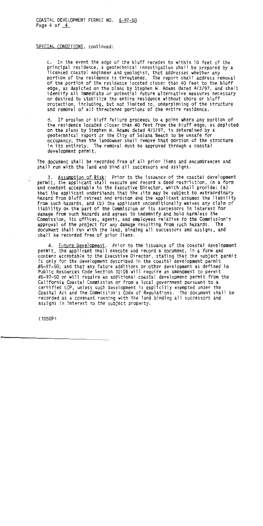COASTAL DEVELOPMENT PERMIT NO. 6-97-50 Page 4 of  $4$ 

SPECIAL CONDITIONS, continued:

c. In the event the edge of the bluff recedes to within 10 feet of the principal residence, a geotechnical investigation shall be prepared by a licensed coastal engineer and geologist, that addresses whether any portion of the residence is threatened. The report shall address removal of the portion of the residence located closer than 40 feet to the bluff edge, as depicted on the plans by Stephen W. Adams dated 4/3/97, and shall identify all immediate or potential future alternative measures necessary or desired to stabilize the entire residence without shore or bluff protection, including, but not limited to, underpinning of the structure and removal of all threatened portions of the entire residence.

d. If erosion or bluff failure proceeds to a point where any portion of the residence located closer than 40 feet from the bluff edge, as depicted on the plans by Stephen W. Adams dated 4/3/97, is determined by a geotechnical report or the City of Solana Beach to be unsafe for occupancy, then the landowner shall remove that portion of the structure in its entirety. The removal must be approved through a coastal development permit.

The document shall be recorded free of all prior liens and encumbrances and shall run with the land and bind all successors and assigns.

3. Assumption of Risk: Prior to the issuance of the coastal development permit, the applicant shall execute and record a deed restriction, in a form and content acceptable to the Executive Director, which shall provide: (a) that the applicant understands that the site may be subject to extraordinary hazard from bluff retreat and erosion and the applicant assumes the liability from such hazards, and (b) the applicant unconditionally waives any claim of liability on the part of the Commission or its successors in interest for damage from such hazards and agrees to indemnify and hold harmless the Commission, its offices, agents, and employees relative to the Commission's approval of the project for any damage resulting from such hazards. The document shall run with the land, binding all successors and assigns, and shall be recorded free of prior liens.

4. Future Development. Prior to the issuance of the coastal development permit, the applicant shall execute and record a document, in a form and content acceptable to the Executive Director, stating that the subject permit is only for the development described in the coastal development permit #6-97-50; and that any future additions or other development as defined in Public Resources Code Section 30106 will require an amendment to permit #6-97-50 or will require an additional coastal development permit from the California Coastal Commission or from a local government pursuant to a certified LCP, unless such development is explicitly exempted under the Coastal Act and the Commission's Code of Requiations. The document shall be recorded as a covenant running with the land binding all successors and assigns in interest to the subject property.

 $(7050P)$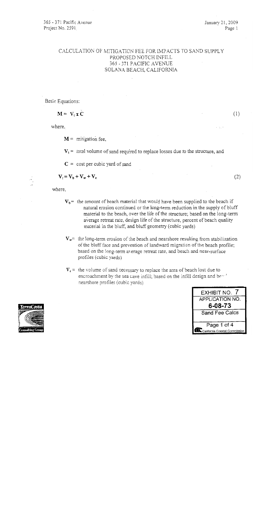January 21, 2009 Page 1

## CALCULATION OF MITIGATION FEE FOR IMPACTS TO SAND SUPPLY PROPOSED NOTCH INFILL 365 - 371 PACIFIC AVENUE SOLANA BEACH, CALIFORNIA

Basic Equations:

$$
M = V_t x C
$$

where.

 $M =$  mitigation fee,

 $V_t$  = total volume of sand required to replace losses due to the structure, and

 $C = \text{cost per cubic yard of sand}$ 

 $V_t = V_b + V_w + V_c$ 

where,

- $V_b$  = the amount of beach material that would have been supplied to the beach if natural erosion continued or the long-term reduction in the supply of bluff material to the beach, over the life of the structure; based on the long-term average retreat rate, design life of the structure, percent of beach quality material in the bluff, and bluff geometry (cubic yards)
- $V_w$  the long-term erosion of the beach and nearshore resulting from stabilization of the bluff face and prevention of landward migration of the beach profile; based on the long-term average retreat rate, and beach and near-surface profiles (cubic yards)
- $V_c$  = the volume of sand necessary to replace the area of beach lost due to encroachment by the sea cave infill; based on the infill design and beard nearshore profiles (cubic yards)





 $(1)$ 

 $(2)$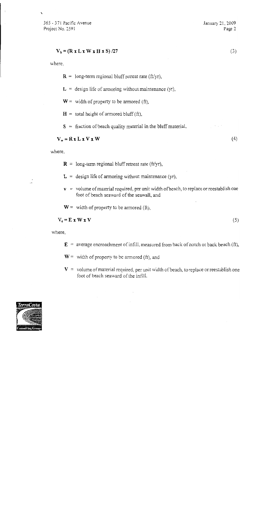#### $V_b = (R x L x W x H x S)/27$

where.

Ñ

 $\mathbf{R}$  = long-term regional bluff retreat rate (ft/yr),

 $L =$  design life of armoring without maintenance (yr),

 $W =$  width of property to be armored (ft),

 $H =$  total height of armored bluff (ft),

 $S =$  fraction of beach quality material in the bluff material,

#### $V_w = R x L x V x W$

where,

 $\mathbf{R}$  = long-term regional bluff retreat rate (ft/yr),

 $L =$  design life of armoring without maintenance (yr),

 $\mathbf{v}$  = volume of material required, per unit width of beach, to replace or reestablish one foot of beach seaward of the seawall, and

 $W =$  width of property to be armored (ft),

 $V_e = E X W X V$ 

 $(5)$ 

where,

 $\mathbf{E}$  = average encroachment of infill, measured from back of notch or back beach (ft),

- $W =$  width of property to be armored (ft), and
- $V =$  volume of material required, per unit width of beach, to replace or reestablish one foot of beach seaward of the infill.



 $(3)$ 

 $(4)$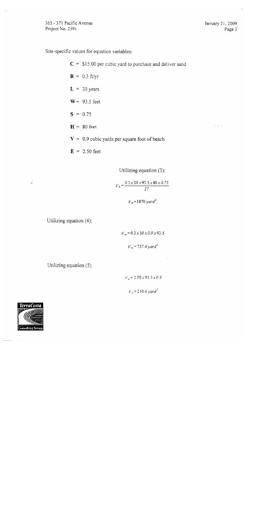January 21, 2009 Page 3

Site-specific values for equation variables:

 $C = $15.00$  per cubic yard to purchase and deliver sand  $R = 0.3 \text{ ft/yr}$  $L = 30$  years  $W = 93.5$  feet  $S = -0.75$  $H = 80$  feet  $V = 0.9$  cubic yards per square foot of beach  $E = 2.50$  feet

Utilizing equation (3):

$$
V_b = \frac{0.3 \times 30 \times 93.5 \times 80 \times 0.75}{27}
$$

 $V_b$  = 1870 yard<sup>3</sup>

Utilizing equation (4):

 $V_w = 0.3 \times 30 \times 0.9 \times 93.5$ 

 $V_w = 757.4'$  yard<sup>3</sup>

Utilizing equation (5).

 $V_e$  = 2.50 x 93.5 x 0.9

 $V_e$  = 210.4 yard<sup>3</sup>